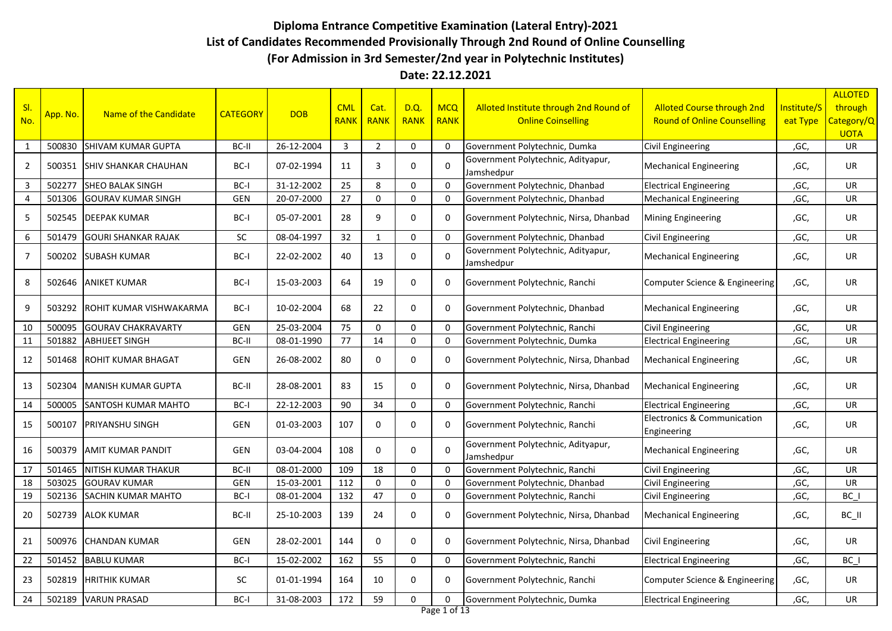## **Diploma Entrance Competitive Examination (Lateral Entry)-2021 List of Candidates Recommended Provisionally Through 2nd Round of Online Counselling (For Admission in 3rd Semester/2nd year in Polytechnic Institutes)**

## **Date: 22.12.2021**

| SI.            |          |                             |                 |            | <b>CML</b>  | Cat.           | <b>D.Q.</b>  | <b>MCQ</b>   | Alloted Institute through 2nd Round of           | <b>Alloted Course through 2nd</b>                     | Institute/S | <b>ALLOTED</b><br>through |
|----------------|----------|-----------------------------|-----------------|------------|-------------|----------------|--------------|--------------|--------------------------------------------------|-------------------------------------------------------|-------------|---------------------------|
| No.            | App. No. | Name of the Candidate       | <b>CATEGORY</b> | <b>DOB</b> | <b>RANK</b> | <b>RANK</b>    | <b>RANK</b>  | <b>RANK</b>  | <b>Online Coinselling</b>                        | <b>Round of Online Counselling</b>                    | eat Type    | Category/Q<br><b>UOTA</b> |
| 1              | 500830   | <b>SHIVAM KUMAR GUPTA</b>   | BC-II           | 26-12-2004 | 3           | $\overline{2}$ | $\mathbf 0$  | $\Omega$     | Government Polytechnic, Dumka                    | <b>Civil Engineering</b>                              | ,GC,        | <b>UR</b>                 |
| 2              | 500351   | <b>SHIV SHANKAR CHAUHAN</b> | BC-I            | 07-02-1994 | 11          | 3              | 0            | $\Omega$     | Government Polytechnic, Adityapur,<br>Jamshedpur | <b>Mechanical Engineering</b>                         | ,GC,        | <b>UR</b>                 |
| 3              | 502277   | <b>SHEO BALAK SINGH</b>     | BC-I            | 31-12-2002 | 25          | 8              | $\mathbf 0$  | $\Omega$     | Government Polytechnic, Dhanbad                  | <b>Electrical Engineering</b>                         | ,GC,        | UR                        |
| $\overline{4}$ | 501306   | <b>GOURAV KUMAR SINGH</b>   | <b>GEN</b>      | 20-07-2000 | 27          | $\mathbf 0$    | $\mathbf 0$  | $\mathbf 0$  | Government Polytechnic, Dhanbad                  | <b>Mechanical Engineering</b>                         | ,GC,        | UR                        |
| 5              | 502545   | <b>DEEPAK KUMAR</b>         | BC-I            | 05-07-2001 | 28          | 9              | $\mathbf 0$  | $\mathbf 0$  | Government Polytechnic, Nirsa, Dhanbad           | <b>Mining Engineering</b>                             | ,GC,        | <b>UR</b>                 |
| 6              | 501479   | <b>GOURI SHANKAR RAJAK</b>  | <b>SC</b>       | 08-04-1997 | 32          | $\mathbf{1}$   | $\mathbf 0$  | $\mathbf{0}$ | Government Polytechnic, Dhanbad                  | Civil Engineering                                     | ,GC,        | UR                        |
| $\overline{7}$ | 500202   | <b>SUBASH KUMAR</b>         | BC-I            | 22-02-2002 | 40          | 13             | 0            | $\Omega$     | Government Polytechnic, Adityapur,<br>Jamshedpur | <b>Mechanical Engineering</b>                         | ,GC,        | UR                        |
| 8              |          | 502646 ANIKET KUMAR         | BC-I            | 15-03-2003 | 64          | 19             | $\Omega$     | $\Omega$     | Government Polytechnic, Ranchi                   | Computer Science & Engineering                        | ,GC,        | <b>UR</b>                 |
| 9              | 503292   | ROHIT KUMAR VISHWAKARMA     | BC-I            | 10-02-2004 | 68          | 22             | $\mathbf 0$  | 0            | Government Polytechnic, Dhanbad                  | <b>Mechanical Engineering</b>                         | ,GC,        | UR                        |
| 10             | 500095   | <b>GOURAV CHAKRAVARTY</b>   | <b>GEN</b>      | 25-03-2004 | 75          | $\mathbf 0$    | $\mathbf 0$  | $\Omega$     | Government Polytechnic, Ranchi                   | Civil Engineering                                     | ,GC,        | UR                        |
| 11             | 501882   | <b>ABHIJEET SINGH</b>       | BC-II           | 08-01-1990 | 77          | 14             | $\mathbf 0$  | $\mathbf 0$  | Government Polytechnic, Dumka                    | <b>Electrical Engineering</b>                         | ,GC,        | UR                        |
| 12             | 501468   | <b>ROHIT KUMAR BHAGAT</b>   | <b>GEN</b>      | 26-08-2002 | 80          | 0              | 0            | 0            | Government Polytechnic, Nirsa, Dhanbad           | <b>Mechanical Engineering</b>                         | ,GC,        | <b>UR</b>                 |
| 13             | 502304   | <b>MANISH KUMAR GUPTA</b>   | BC-II           | 28-08-2001 | 83          | 15             | $\mathbf{0}$ | $\Omega$     | Government Polytechnic, Nirsa, Dhanbad           | <b>Mechanical Engineering</b>                         | ,GC,        | UR                        |
| 14             | 500005   | <b>SANTOSH KUMAR MAHTO</b>  | BC-I            | 22-12-2003 | 90          | 34             | $\mathbf{0}$ | $\Omega$     | Government Polytechnic, Ranchi                   | <b>Electrical Engineering</b>                         | ,GC,        | UR                        |
| 15             | 500107   | <b>PRIYANSHU SINGH</b>      | <b>GEN</b>      | 01-03-2003 | 107         | $\mathbf 0$    | $\mathbf 0$  | 0            | Government Polytechnic, Ranchi                   | <b>Electronics &amp; Communication</b><br>Engineering | ,GC,        | UR                        |
| 16             | 500379   | <b>AMIT KUMAR PANDIT</b>    | <b>GEN</b>      | 03-04-2004 | 108         | 0              | $\mathbf 0$  | $\Omega$     | Government Polytechnic, Adityapur,<br>Jamshedpur | <b>Mechanical Engineering</b>                         | ,GC,        | UR                        |
| 17             | 501465   | <b>NITISH KUMAR THAKUR</b>  | BC-II           | 08-01-2000 | 109         | 18             | $\mathbf 0$  | $\Omega$     | Government Polytechnic, Ranchi                   | Civil Engineering                                     | ,GC,        | UR                        |
| 18             | 503025   | <b>GOURAV KUMAR</b>         | <b>GEN</b>      | 15-03-2001 | 112         | $\mathbf 0$    | $\mathbf 0$  | $\mathbf 0$  | Government Polytechnic, Dhanbad                  | <b>Civil Engineering</b>                              | ,GC,        | UR                        |
| 19             |          | 502136 SACHIN KUMAR MAHTO   | BC-I            | 08-01-2004 | 132         | 47             | $\mathbf 0$  | $\mathbf 0$  | Government Polytechnic, Ranchi                   | <b>Civil Engineering</b>                              | ,GC,        | BC I                      |
| 20             |          | 502739 ALOK KUMAR           | BC-II           | 25-10-2003 | 139         | 24             | $\mathbf 0$  | $\mathbf 0$  | Government Polytechnic, Nirsa, Dhanbad           | <b>Mechanical Engineering</b>                         | ,GC,        | $BC$ $II$                 |
| 21             |          | 500976 CHANDAN KUMAR        | <b>GEN</b>      | 28-02-2001 | 144         | 0              | $\mathbf 0$  | $\Omega$     | Government Polytechnic, Nirsa, Dhanbad           | Civil Engineering                                     | ,GC,        | UR                        |
| 22             | 501452   | <b>BABLU KUMAR</b>          | BC-I            | 15-02-2002 | 162         | 55             | $\mathbf 0$  | $\mathbf 0$  | Government Polytechnic, Ranchi                   | <b>Electrical Engineering</b>                         | ,GC,        | BC I                      |
| 23             | 502819   | <b>HRITHIK KUMAR</b>        | <b>SC</b>       | 01-01-1994 | 164         | 10             | $\mathbf 0$  | $\Omega$     | Government Polytechnic, Ranchi                   | Computer Science & Engineering                        | ,GC,        | UR                        |
| 24             | 502189   | <b>VARUN PRASAD</b>         | BC-I            | 31-08-2003 | 172         | 59             | $\mathbf{0}$ | $\Omega$     | Government Polytechnic, Dumka                    | <b>Electrical Engineering</b>                         | ,GC,        | UR                        |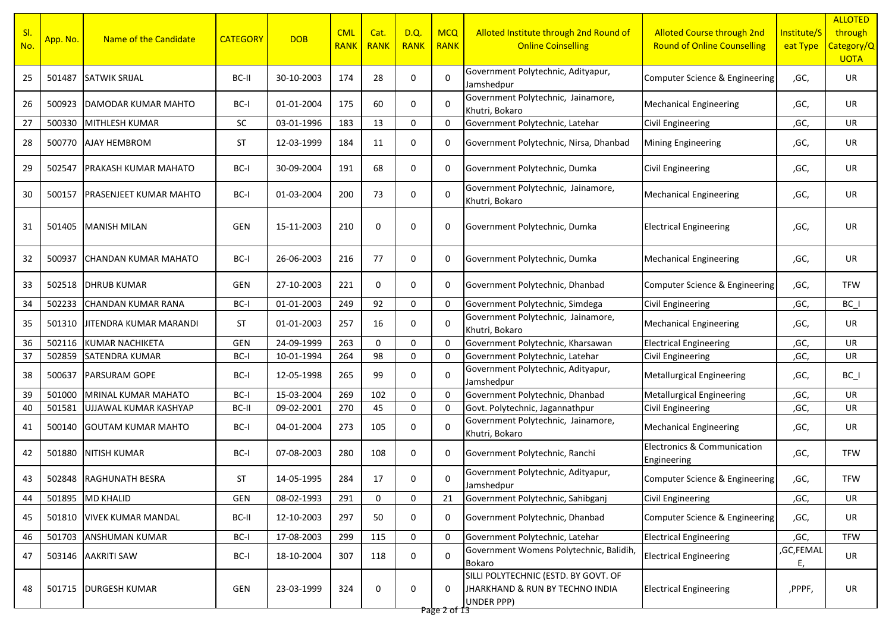| SI.<br>No. | App. No. | Name of the Candidate         | <b>CATEGORY</b> | <b>DOB</b> | <b>CML</b><br><b>RANK</b> | Cat.<br><b>RANK</b> | D.Q.<br><b>RANK</b> | <b>MCQ</b><br><b>RANK</b> | Alloted Institute through 2nd Round of<br><b>Online Coinselling</b>                   | <b>Alloted Course through 2nd</b><br><b>Round of Online Counselling</b> | Institute/S<br>eat Type | <b>ALLOTED</b><br>through<br>Category/Q<br><b>UOTA</b> |
|------------|----------|-------------------------------|-----------------|------------|---------------------------|---------------------|---------------------|---------------------------|---------------------------------------------------------------------------------------|-------------------------------------------------------------------------|-------------------------|--------------------------------------------------------|
| 25         | 501487   | <b>SATWIK SRIJAL</b>          | BC-II           | 30-10-2003 | 174                       | 28                  | 0                   | $\mathbf 0$               | Government Polytechnic, Adityapur,<br>Jamshedpur                                      | Computer Science & Engineering                                          | ,GC,                    | UR                                                     |
| 26         | 500923   | DAMODAR KUMAR MAHTO           | BC-I            | 01-01-2004 | 175                       | 60                  | 0                   | $\mathbf 0$               | Government Polytechnic, Jainamore,<br>Khutri, Bokaro                                  | <b>Mechanical Engineering</b>                                           | ,GC,                    | UR                                                     |
| 27         | 500330   | MITHLESH KUMAR                | <b>SC</b>       | 03-01-1996 | 183                       | 13                  | $\mathbf{0}$        | $\Omega$                  | Government Polytechnic, Latehar                                                       | Civil Engineering                                                       | ,GC,                    | UR                                                     |
| 28         | 500770   | <b>AJAY HEMBROM</b>           | <b>ST</b>       | 12-03-1999 | 184                       | 11                  | $\mathbf 0$         | 0                         | Government Polytechnic, Nirsa, Dhanbad                                                | Mining Engineering                                                      | ,GC,                    | UR                                                     |
| 29         | 502547   | PRAKASH KUMAR MAHATO          | BC-I            | 30-09-2004 | 191                       | 68                  | $\mathbf 0$         | 0                         | Government Polytechnic, Dumka                                                         | <b>Civil Engineering</b>                                                | ,GC,                    | UR                                                     |
| 30         | 500157   | <b>PRASENJEET KUMAR MAHTO</b> | BC-I            | 01-03-2004 | 200                       | 73                  | 0                   | $\mathbf 0$               | Government Polytechnic, Jainamore,<br>Khutri, Bokaro                                  | <b>Mechanical Engineering</b>                                           | ,GC,                    | UR                                                     |
| 31         | 501405   | MANISH MILAN                  | GEN             | 15-11-2003 | 210                       | 0                   | $\mathbf 0$         | 0                         | Government Polytechnic, Dumka                                                         | <b>Electrical Engineering</b>                                           | ,GC,                    | UR                                                     |
| 32         | 500937   | <b>ICHANDAN KUMAR MAHATO</b>  | BC-I            | 26-06-2003 | 216                       | 77                  | 0                   | 0                         | Government Polytechnic, Dumka                                                         | <b>Mechanical Engineering</b>                                           | ,GC,                    | UR.                                                    |
| 33         | 502518   | <b>DHRUB KUMAR</b>            | GEN             | 27-10-2003 | 221                       | 0                   | $\mathbf 0$         | 0                         | Government Polytechnic, Dhanbad                                                       | Computer Science & Engineering                                          | ,GC,                    | <b>TFW</b>                                             |
| 34         | 502233   | <b>CHANDAN KUMAR RANA</b>     | BC-I            | 01-01-2003 | 249                       | 92                  | $\mathbf 0$         | $\mathbf 0$               | Government Polytechnic, Simdega                                                       | <b>Civil Engineering</b>                                                | ,GC,                    | BC I                                                   |
| 35         | 501310   | JITENDRA KUMAR MARANDI        | ST              | 01-01-2003 | 257                       | 16                  | 0                   | $\Omega$                  | Government Polytechnic, Jainamore,<br>Khutri, Bokaro                                  | <b>Mechanical Engineering</b>                                           | ,GC,                    | UR                                                     |
| 36         | 502116   | <b>KUMAR NACHIKETA</b>        | GEN             | 24-09-1999 | 263                       | 0                   | $\mathbf 0$         | $\Omega$                  | Government Polytechnic, Kharsawan                                                     | <b>Electrical Engineering</b>                                           | ,GC,                    | UR                                                     |
| 37         | 502859   | <b>SATENDRA KUMAR</b>         | BC-I            | 10-01-1994 | 264                       | 98                  | $\mathbf 0$         | $\mathbf 0$               | Government Polytechnic, Latehar                                                       | <b>Civil Engineering</b>                                                | ,GC,                    | UR                                                     |
| 38         | 500637   | <b>PARSURAM GOPE</b>          | BC-I            | 12-05-1998 | 265                       | 99                  | 0                   | $\Omega$                  | Government Polytechnic, Adityapur,<br>Jamshedpur                                      | <b>Metallurgical Engineering</b>                                        | ,GC,                    | $BC_$                                                  |
| 39         | 501000   | MRINAL KUMAR MAHATO           | BC-I            | 15-03-2004 | 269                       | 102                 | $\mathbf 0$         | $\Omega$                  | Government Polytechnic, Dhanbad                                                       | <b>Metallurgical Engineering</b>                                        | ,GC,                    | UR                                                     |
| 40         | 501581   | UJJAWAL KUMAR KASHYAP         | BC-II           | 09-02-2001 | 270                       | 45                  | $\mathbf 0$         | $\mathbf 0$               | Govt. Polytechnic, Jagannathpur                                                       | <b>Civil Engineering</b>                                                | ,GC,                    | UR                                                     |
| 41         | 500140   | <b>GOUTAM KUMAR MAHTO</b>     | BC-I            | 04-01-2004 | 273                       | 105                 | 0                   | $\Omega$                  | Government Polytechnic, Jainamore,<br>Khutri, Bokaro                                  | <b>Mechanical Engineering</b>                                           | ,GC,                    | UR                                                     |
| 42         | 501880   | <b>NITISH KUMAR</b>           | BC-I            | 07-08-2003 | 280                       | 108                 | 0                   | 0                         | Government Polytechnic, Ranchi                                                        | <b>Electronics &amp; Communication</b><br>Engineering                   | ,GC,                    | <b>TFW</b>                                             |
| 43         |          | 502848 RAGHUNATH BESRA        | ST              | 14-05-1995 | 284                       | 17                  | 0                   | $\Omega$                  | Government Polytechnic, Adityapur,<br>Jamshedpur                                      | Computer Science & Engineering                                          | ,GC,                    | <b>TFW</b>                                             |
| 44         |          | 501895 MD KHALID              | <b>GEN</b>      | 08-02-1993 | 291                       | 0                   | $\mathbf{0}$        | 21                        | Government Polytechnic, Sahibganj                                                     | Civil Engineering                                                       | ,GC,                    | UR                                                     |
| 45         | 501810   | <b>VIVEK KUMAR MANDAL</b>     | BC-II           | 12-10-2003 | 297                       | 50                  | 0                   | 0                         | Government Polytechnic, Dhanbad                                                       | Computer Science & Engineering                                          | ,GC,                    | UR                                                     |
| 46         | 501703   | <b>ANSHUMAN KUMAR</b>         | BC-I            | 17-08-2003 | 299                       | 115                 | $\pmb{0}$           | $\mathbf 0$               | Government Polytechnic, Latehar                                                       | <b>Electrical Engineering</b>                                           | ,GC,                    | <b>TFW</b>                                             |
| 47         |          | 503146 AAKRITI SAW            | BC-I            | 18-10-2004 | 307                       | 118                 | 0                   | $\mathbf 0$               | Government Womens Polytechnic, Balidih,<br>Bokaro                                     | <b>Electrical Engineering</b>                                           | ,GC,FEMAL<br>Ε,         | UR                                                     |
| 48         |          | 501715   DURGESH KUMAR        | GEN             | 23-03-1999 | 324                       | 0                   | 0                   | 0                         | SILLI POLYTECHNIC (ESTD. BY GOVT. OF<br>JHARKHAND & RUN BY TECHNO INDIA<br>UNDER PPP) | <b>Electrical Engineering</b>                                           | ,PPPF,                  | UR                                                     |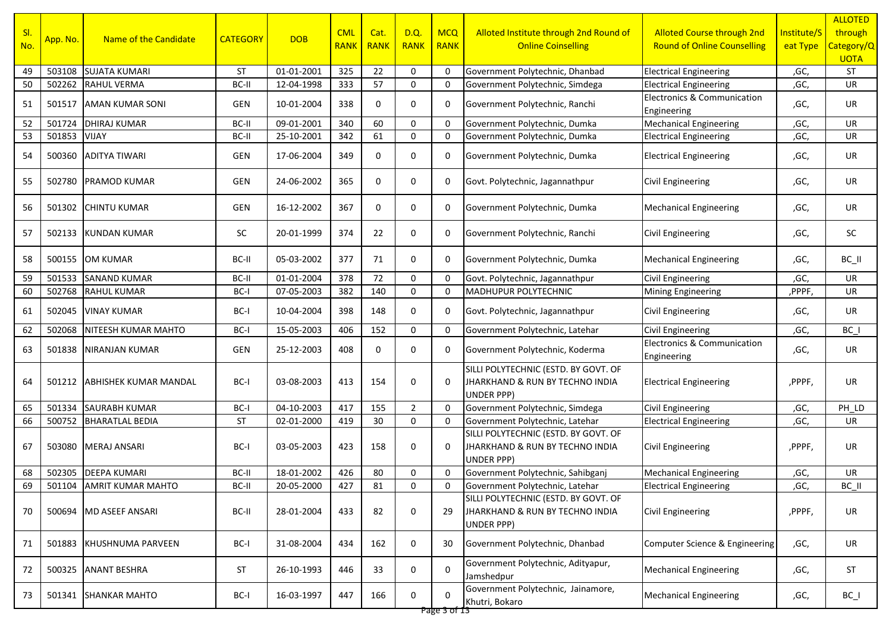| SI.<br>No. | App. No. | Name of the Candidate        | <b>CATEGORY</b> | <b>DOB</b> | <b>CML</b><br><b>RANK</b> | Cat.<br><b>RANK</b> | D.Q.<br><b>RANK</b> | <b>MCQ</b><br><b>RANK</b> | Alloted Institute through 2nd Round of<br><b>Online Coinselling</b>                                     | <b>Alloted Course through 2nd</b><br><b>Round of Online Counselling</b> | Institute/S<br>eat Type | <b>ALLOTED</b><br>through<br>Category/Q<br><b>UOTA</b> |
|------------|----------|------------------------------|-----------------|------------|---------------------------|---------------------|---------------------|---------------------------|---------------------------------------------------------------------------------------------------------|-------------------------------------------------------------------------|-------------------------|--------------------------------------------------------|
| 49         | 503108   | <b>SUJATA KUMARI</b>         | <b>ST</b>       | 01-01-2001 | 325                       | 22                  | 0                   | $\Omega$                  | Government Polytechnic, Dhanbad                                                                         | <b>Electrical Engineering</b>                                           | ,GC,                    | ST                                                     |
| 50         | 502262   | <b>RAHUL VERMA</b>           | BC-II           | 12-04-1998 | 333                       | 57                  | $\mathbf 0$         | $\mathbf 0$               | Government Polytechnic, Simdega                                                                         | <b>Electrical Engineering</b>                                           | ,GC,                    | UR                                                     |
| 51         | 501517   | <b>AMAN KUMAR SONI</b>       | <b>GEN</b>      | 10-01-2004 | 338                       | 0                   | $\mathbf 0$         | 0                         | Government Polytechnic, Ranchi                                                                          | <b>Electronics &amp; Communication</b><br>Engineering                   | ,GC,                    | UR                                                     |
| 52         | 501724   | <b>DHIRAJ KUMAR</b>          | BC-II           | 09-01-2001 | 340                       | 60                  | 0                   | $\Omega$                  | Government Polytechnic, Dumka                                                                           | <b>Mechanical Engineering</b>                                           | ,GC,                    | UR                                                     |
| 53         | 501853   | <b>VIJAY</b>                 | BC-II           | 25-10-2001 | 342                       | 61                  | $\mathbf 0$         | $\Omega$                  | Government Polytechnic, Dumka                                                                           | <b>Electrical Engineering</b>                                           | ,GC,                    | UR                                                     |
| 54         | 500360   | <b>ADITYA TIWARI</b>         | GEN             | 17-06-2004 | 349                       | 0                   | 0                   | 0                         | Government Polytechnic, Dumka                                                                           | <b>Electrical Engineering</b>                                           | ,GC,                    | UR                                                     |
| 55         | 502780   | <b>PRAMOD KUMAR</b>          | GEN             | 24-06-2002 | 365                       | 0                   | 0                   | 0                         | Govt. Polytechnic, Jagannathpur                                                                         | <b>Civil Engineering</b>                                                | ,GC,                    | UR                                                     |
| 56         | 501302   | <b>CHINTU KUMAR</b>          | GEN             | 16-12-2002 | 367                       | 0                   | 0                   | 0                         | Government Polytechnic, Dumka                                                                           | <b>Mechanical Engineering</b>                                           | ,GC,                    | UR                                                     |
| 57         | 502133   | KUNDAN KUMAR                 | SC              | 20-01-1999 | 374                       | 22                  | 0                   | 0                         | Government Polytechnic, Ranchi                                                                          | <b>Civil Engineering</b>                                                | ,GC,                    | SC                                                     |
| 58         |          | 500155 <b>JOM KUMAR</b>      | BC-II           | 05-03-2002 | 377                       | 71                  | 0                   | 0                         | Government Polytechnic, Dumka                                                                           | <b>Mechanical Engineering</b>                                           | ,GC,                    | BC_II                                                  |
| 59         | 501533   | <b>SANAND KUMAR</b>          | BC-II           | 01-01-2004 | 378                       | 72                  | $\mathbf 0$         | 0                         | Govt. Polytechnic, Jagannathpur                                                                         | <b>Civil Engineering</b>                                                | ,GC,                    | UR                                                     |
| 60         | 502768   | <b>RAHUL KUMAR</b>           | BC-I            | 07-05-2003 | 382                       | 140                 | 0                   | 0                         | <b>MADHUPUR POLYTECHNIC</b>                                                                             | Mining Engineering                                                      | ,PPPF,                  | UR                                                     |
| 61         | 502045   | <b>VINAY KUMAR</b>           | BC-I            | 10-04-2004 | 398                       | 148                 | 0                   | 0                         | Govt. Polytechnic, Jagannathpur                                                                         | Civil Engineering                                                       | ,GC,                    | UR                                                     |
| 62         | 502068   | <b>NITEESH KUMAR MAHTO</b>   | BC-I            | 15-05-2003 | 406                       | 152                 | 0                   | 0                         | Government Polytechnic, Latehar                                                                         | Civil Engineering                                                       | ,GC,                    | BC I                                                   |
| 63         | 501838   | NIRANJAN KUMAR               | GEN             | 25-12-2003 | 408                       | 0                   | $\mathbf 0$         | 0                         | Government Polytechnic, Koderma                                                                         | <b>Electronics &amp; Communication</b><br>Engineering                   | ,GC,                    | UR                                                     |
| 64         | 501212   | <b>ABHISHEK KUMAR MANDAL</b> | BC-I            | 03-08-2003 | 413                       | 154                 | $\mathbf 0$         | $\Omega$                  | SILLI POLYTECHNIC (ESTD. BY GOVT. OF<br><b>JHARKHAND &amp; RUN BY TECHNO INDIA</b><br><b>UNDER PPP)</b> | <b>Electrical Engineering</b>                                           | ,PPPF,                  | UR                                                     |
| 65         | 501334   | <b>SAURABH KUMAR</b>         | BC-I            | 04-10-2003 | 417                       | 155                 | $\overline{2}$      | $\Omega$                  | Government Polytechnic, Simdega                                                                         | Civil Engineering                                                       | ,GC,                    | PH LD                                                  |
| 66         | 500752   | <b>BHARATLAL BEDIA</b>       | <b>ST</b>       | 02-01-2000 | 419                       | 30                  | $\mathbf 0$         | $\mathbf 0$               | Government Polytechnic, Latehar                                                                         | <b>Electrical Engineering</b>                                           | ,GC,                    | UR                                                     |
| 67         | 503080   | MERAJ ANSARI                 | BC-I            | 03-05-2003 | 423                       | 158                 | 0                   | $\mathbf 0$               | SILLI POLYTECHNIC (ESTD. BY GOVT. OF<br>JHARKHAND & RUN BY TECHNO INDIA<br><b>UNDER PPP)</b>            | <b>Civil Engineering</b>                                                | ,PPPF,                  | UR                                                     |
| 68         |          | 502305 DEEPA KUMARI          | BC-II           | 18-01-2002 | 426                       | 80                  | 0                   | $\mathbf 0$               | Government Polytechnic, Sahibganj                                                                       | <b>Mechanical Engineering</b>                                           | ,GC,                    | UR                                                     |
| 69         |          | 501104 AMRIT KUMAR MAHTO     | BC-II           | 20-05-2000 | 427                       | 81                  | 0                   | 0                         | Government Polytechnic, Latehar                                                                         | <b>Electrical Engineering</b>                                           | ,GC,                    | $BC$ $II$                                              |
| 70         |          | 500694 MD ASEEF ANSARI       | BC-II           | 28-01-2004 | 433                       | 82                  | $\mathbf 0$         | 29                        | SILLI POLYTECHNIC (ESTD. BY GOVT. OF<br>JHARKHAND & RUN BY TECHNO INDIA<br>UNDER PPP)                   | Civil Engineering                                                       | ,PPPF,                  | UR                                                     |
| 71         |          | 501883 KHUSHNUMA PARVEEN     | BC-I            | 31-08-2004 | 434                       | 162                 | $\mathbf 0$         | 30                        | Government Polytechnic, Dhanbad                                                                         | Computer Science & Engineering                                          | ,GC,                    | UR                                                     |
| 72         |          | 500325 ANANT BESHRA          | <b>ST</b>       | 26-10-1993 | 446                       | 33                  | 0                   | $\Omega$                  | Government Polytechnic, Adityapur,<br>Jamshedpur                                                        | <b>Mechanical Engineering</b>                                           | ,GC,                    | ST                                                     |
| 73         |          | 501341 SHANKAR MAHTO         | BC-I            | 16-03-1997 | 447                       | 166                 | 0                   | $\Omega$<br>Page 3 of 13  | Government Polytechnic, Jainamore,<br>Khutri, Bokaro                                                    | <b>Mechanical Engineering</b>                                           | ,GC,                    | $BC_$                                                  |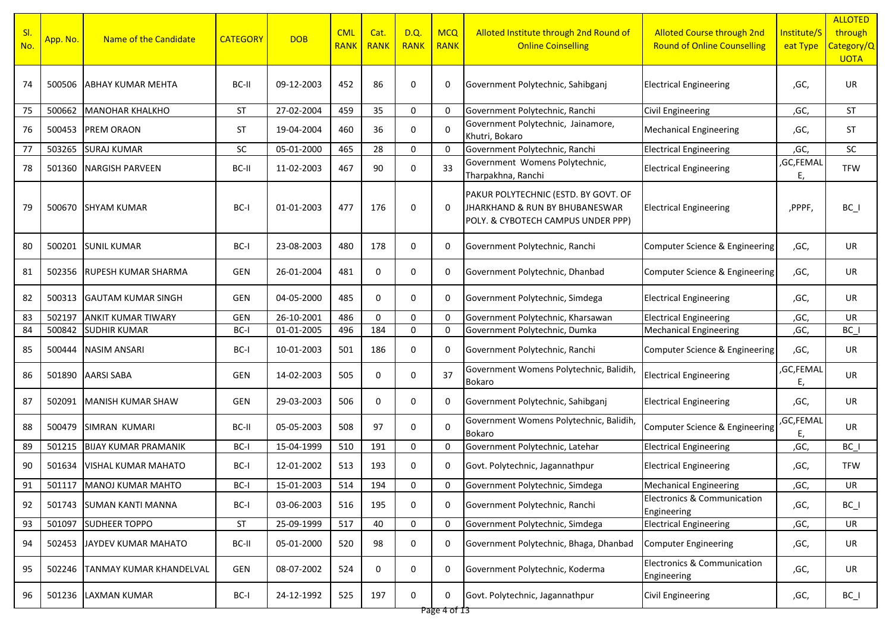| SI.<br>No. | App. No. | Name of the Candidate          | <b>CATEGORY</b> | <b>DOB</b> | <b>CML</b><br><b>RANK</b> | Cat.<br>RANK | D.Q<br><b>RANK</b> | <b>MCQ</b><br><b>RANK</b> | Alloted Institute through 2nd Round of<br><b>Online Coinselling</b>                                          | <b>Alloted Course through 2nd</b><br><b>Round of Online Counselling</b> | Institute/S<br>eat Type | <b>ALLOTED</b><br>through<br>Category/Q<br><b>UOTA</b> |
|------------|----------|--------------------------------|-----------------|------------|---------------------------|--------------|--------------------|---------------------------|--------------------------------------------------------------------------------------------------------------|-------------------------------------------------------------------------|-------------------------|--------------------------------------------------------|
| 74         | 500506   | ABHAY KUMAR MEHTA              | BC-II           | 09-12-2003 | 452                       | 86           | 0                  | 0                         | Government Polytechnic, Sahibganj                                                                            | <b>Electrical Engineering</b>                                           | ,GC,                    | UR.                                                    |
| 75         | 500662   | <b>MANOHAR KHALKHO</b>         | <b>ST</b>       | 27-02-2004 | 459                       | 35           | 0                  | 0                         | Government Polytechnic, Ranchi                                                                               | <b>Civil Engineering</b>                                                | ,GC,                    | <b>ST</b>                                              |
| 76         | 500453   | <b>PREM ORAON</b>              | <b>ST</b>       | 19-04-2004 | 460                       | 36           | 0                  | 0                         | Government Polytechnic, Jainamore,<br>Khutri, Bokaro                                                         | <b>Mechanical Engineering</b>                                           | ,GC,                    | <b>ST</b>                                              |
| 77         | 503265   | <b>SURAJ KUMAR</b>             | <b>SC</b>       | 05-01-2000 | 465                       | 28           | 0                  | $\Omega$                  | Government Polytechnic, Ranchi                                                                               | <b>Electrical Engineering</b>                                           | ,GC,                    | SC                                                     |
| 78         | 501360   | <b>NARGISH PARVEEN</b>         | BC-II           | 11-02-2003 | 467                       | 90           | 0                  | 33                        | Government Womens Polytechnic,<br>Tharpakhna, Ranchi                                                         | <b>Electrical Engineering</b>                                           | GC,FEMAL<br>Ε,          | <b>TFW</b>                                             |
| 79         | 500670   | ISHYAM KUMAR                   | BC-I            | 01-01-2003 | 477                       | 176          | 0                  | 0                         | PAKUR POLYTECHNIC (ESTD. BY GOVT. OF<br>JHARKHAND & RUN BY BHUBANESWAR<br>POLY. & CYBOTECH CAMPUS UNDER PPP) | <b>Electrical Engineering</b>                                           | ,PPPF,                  | $BC_$                                                  |
| 80         | 500201   | <b>SUNIL KUMAR</b>             | BC-I            | 23-08-2003 | 480                       | 178          | 0                  | 0                         | Government Polytechnic, Ranchi                                                                               | Computer Science & Engineering                                          | ,GC,                    | UR                                                     |
| 81         | 502356   | <b>RUPESH KUMAR SHARMA</b>     | GEN             | 26-01-2004 | 481                       | $\mathbf 0$  | $\mathbf 0$        | 0                         | Government Polytechnic, Dhanbad                                                                              | Computer Science & Engineering                                          | ,GC,                    | UR                                                     |
| 82         | 500313   | <b>GAUTAM KUMAR SINGH</b>      | GEN             | 04-05-2000 | 485                       | $\mathbf 0$  | $\mathbf 0$        | 0                         | Government Polytechnic, Simdega                                                                              | <b>Electrical Engineering</b>                                           | ,GC,                    | UR                                                     |
| 83         | 502197   | <b>ANKIT KUMAR TIWARY</b>      | <b>GEN</b>      | 26-10-2001 | 486                       | $\mathbf 0$  | 0                  | $\mathbf 0$               | Government Polytechnic, Kharsawan                                                                            | <b>Electrical Engineering</b>                                           | ,GC,                    | UR                                                     |
| 84         | 500842   | <b>SUDHIR KUMAR</b>            | BC-I            | 01-01-2005 | 496                       | 184          | $\mathbf 0$        | 0                         | Government Polytechnic, Dumka                                                                                | <b>Mechanical Engineering</b>                                           | ,GC,                    | BC I                                                   |
| 85         | 500444   | <b>NASIM ANSARI</b>            | BC-I            | 10-01-2003 | 501                       | 186          | 0                  | 0                         | Government Polytechnic, Ranchi                                                                               | Computer Science & Engineering                                          | ,GC,                    | UR                                                     |
| 86         | 501890   | AARSI SABA                     | GEN             | 14-02-2003 | 505                       | 0            | 0                  | 37                        | Government Womens Polytechnic, Balidih,<br><b>Bokaro</b>                                                     | <b>Electrical Engineering</b>                                           | ,GC,FEMAL<br>Ε,         | UR                                                     |
| 87         | 502091   | <b>MANISH KUMAR SHAW</b>       | GEN             | 29-03-2003 | 506                       | 0            | 0                  | 0                         | Government Polytechnic, Sahibganj                                                                            | <b>Electrical Engineering</b>                                           | ,GC,                    | UR                                                     |
| 88         | 500479   | SIMRAN KUMARI                  | BC-II           | 05-05-2003 | 508                       | 97           | 0                  | $\Omega$                  | Government Womens Polytechnic, Balidih,<br>Bokaro                                                            | Computer Science & Engineering                                          | ,GC,FEMAL<br>Ε,         | UR                                                     |
| 89         | 501215   | <b>BIJAY KUMAR PRAMANIK</b>    | BC-I            | 15-04-1999 | 510                       | 191          | $\mathbf 0$        | 0                         | Government Polytechnic, Latehar                                                                              | <b>Electrical Engineering</b>                                           | ,GC,                    | $BC_$                                                  |
| 90         | 501634   | VISHAL KUMAR MAHATO            | BC-I            | 12-01-2002 | 513                       | 193          | 0                  | 0                         | Govt. Polytechnic, Jagannathpur                                                                              | <b>Electrical Engineering</b>                                           | ,GC,                    | <b>TFW</b>                                             |
| 91         |          | 501117 MANOJ KUMAR MAHTO       | $BC-I$          | 15-01-2003 | 514                       | 194          | $\Omega$           | 0                         | Government Polytechnic, Simdega                                                                              | <b>Mechanical Engineering</b>                                           | ,GC,                    | UR                                                     |
| 92         | 501743   | <b>SUMAN KANTI MANNA</b>       | BC-I            | 03-06-2003 | 516                       | 195          | 0                  | 0                         | Government Polytechnic, Ranchi                                                                               | Electronics & Communication<br>Engineering                              | ,GC,                    | $BC_$                                                  |
| 93         | 501097   | <b>SUDHEER TOPPO</b>           | ST              | 25-09-1999 | 517                       | 40           | 0                  | $\mathbf 0$               | Government Polytechnic, Simdega                                                                              | <b>Electrical Engineering</b>                                           | ,GC,                    | UR                                                     |
| 94         | 502453   | JAYDEV KUMAR MAHATO            | BC-II           | 05-01-2000 | 520                       | 98           | 0                  | 0                         | Government Polytechnic, Bhaga, Dhanbad                                                                       | Computer Engineering                                                    | ,GC,                    | UR                                                     |
| 95         | 502246   | <b>TANMAY KUMAR KHANDELVAL</b> | GEN             | 08-07-2002 | 524                       | 0            | 0                  | 0                         | Government Polytechnic, Koderma                                                                              | <b>Electronics &amp; Communication</b><br>Engineering                   | ,GC,                    | UR                                                     |
| 96         | 501236   | <b>LAXMAN KUMAR</b>            | BC-I            | 24-12-1992 | 525                       | 197          | 0                  | 0                         | Govt. Polytechnic, Jagannathpur                                                                              | <b>Civil Engineering</b>                                                | ,GC,                    | $BC_$                                                  |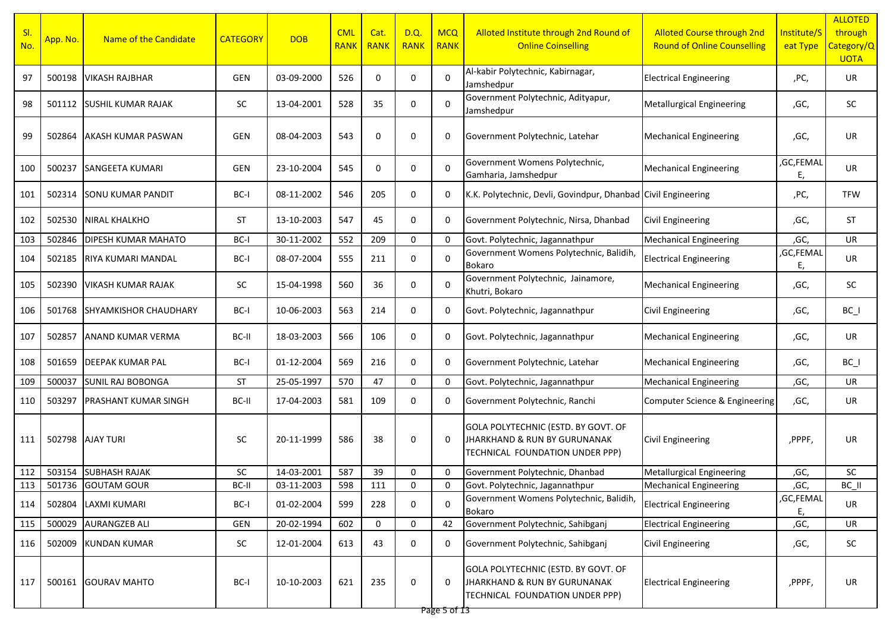| SI.<br>No. | App. No. | Name of the Candidate        | <b>CATEGORY</b> | <b>DOB</b> | <b>CML</b><br>RANK | Cat.<br><b>RANK</b> | D.Q.<br><b>RANK</b> | <b>MCQ</b><br><b>RANK</b> | Alloted Institute through 2nd Round of<br><b>Online Coinselling</b>                                    | <b>Alloted Course through 2nd</b><br><b>Round of Online Counselling</b> | Institute/S<br>eat Type | <b>ALLOTED</b><br>through<br>Category/Q<br><b>UOTA</b> |
|------------|----------|------------------------------|-----------------|------------|--------------------|---------------------|---------------------|---------------------------|--------------------------------------------------------------------------------------------------------|-------------------------------------------------------------------------|-------------------------|--------------------------------------------------------|
| 97         | 500198   | <b>VIKASH RAJBHAR</b>        | <b>GEN</b>      | 03-09-2000 | 526                | $\mathbf 0$         | $\mathbf 0$         | $\Omega$                  | Al-kabir Polytechnic, Kabirnagar,<br>Jamshedpur                                                        | <b>Electrical Engineering</b>                                           | ,PC,                    | UR                                                     |
| 98         | 501112   | <b>SUSHIL KUMAR RAJAK</b>    | SC              | 13-04-2001 | 528                | 35                  | 0                   | $\Omega$                  | Government Polytechnic, Adityapur,<br>Jamshedpur                                                       | <b>Metallurgical Engineering</b>                                        | ,GC,                    | SC                                                     |
| 99         | 502864   | <b>AKASH KUMAR PASWAN</b>    | <b>GEN</b>      | 08-04-2003 | 543                | 0                   | 0                   | 0                         | Government Polytechnic, Latehar                                                                        | <b>Mechanical Engineering</b>                                           | ,GC,                    | UR                                                     |
| 100        | 500237   | SANGEETA KUMARI              | <b>GEN</b>      | 23-10-2004 | 545                | 0                   | $\mathbf 0$         | $\mathbf 0$               | Government Womens Polytechnic,<br>Gamharia, Jamshedpur                                                 | <b>Mechanical Engineering</b>                                           | ,GC,FEMAL<br>Ε,         | UR                                                     |
| 101        | 502314   | <b>SONU KUMAR PANDIT</b>     | BC-I            | 08-11-2002 | 546                | 205                 | $\mathbf 0$         | 0                         | K.K. Polytechnic, Devli, Govindpur, Dhanbad Civil Engineering                                          |                                                                         | ,PC,                    | <b>TFW</b>                                             |
| 102        | 502530   | <b>NIRAL KHALKHO</b>         | <b>ST</b>       | 13-10-2003 | 547                | 45                  | $\mathbf 0$         | 0                         | Government Polytechnic, Nirsa, Dhanbad                                                                 | Civil Engineering                                                       | ,GC,                    | <b>ST</b>                                              |
| 103        | 502846   | <b>DIPESH KUMAR MAHATO</b>   | BC-I            | 30-11-2002 | 552                | 209                 | $\mathbf 0$         | $\Omega$                  | Govt. Polytechnic, Jagannathpur                                                                        | <b>Mechanical Engineering</b>                                           | ,GC,                    | UR                                                     |
| 104        | 502185   | RIYA KUMARI MANDAL           | BC-I            | 08-07-2004 | 555                | 211                 | 0                   | $\Omega$                  | Government Womens Polytechnic, Balidih,<br>Bokaro                                                      | <b>Electrical Engineering</b>                                           | ,GC,FEMAL<br>E          | UR                                                     |
| 105        | 502390   | VIKASH KUMAR RAJAK           | SC              | 15-04-1998 | 560                | 36                  | 0                   | $\Omega$                  | Government Polytechnic, Jainamore,<br>Khutri, Bokaro                                                   | <b>Mechanical Engineering</b>                                           | ,GC,                    | SC                                                     |
| 106        | 501768   | <b>SHYAMKISHOR CHAUDHARY</b> | BC-I            | 10-06-2003 | 563                | 214                 | 0                   | 0                         | Govt. Polytechnic, Jagannathpur                                                                        | <b>Civil Engineering</b>                                                | ,GC,                    | $BC_$                                                  |
| 107        | 502857   | ANAND KUMAR VERMA            | BC-II           | 18-03-2003 | 566                | 106                 | 0                   | $\mathbf 0$               | Govt. Polytechnic, Jagannathpur                                                                        | <b>Mechanical Engineering</b>                                           | ,GC,                    | UR                                                     |
| 108        | 501659   | <b>DEEPAK KUMAR PAL</b>      | BC-I            | 01-12-2004 | 569                | 216                 | 0                   | 0                         | Government Polytechnic, Latehar                                                                        | <b>Mechanical Engineering</b>                                           | ,GC,                    | $BC_$                                                  |
| 109        | 500037   | <b>SUNIL RAJ BOBONGA</b>     | <b>ST</b>       | 25-05-1997 | 570                | 47                  | $\mathbf 0$         | 0                         | Govt. Polytechnic, Jagannathpur                                                                        | <b>Mechanical Engineering</b>                                           | ,GC,                    | UR                                                     |
| 110        | 503297   | <b>PRASHANT KUMAR SINGH</b>  | BC-II           | 17-04-2003 | 581                | 109                 | $\mathbf 0$         | 0                         | Government Polytechnic, Ranchi                                                                         | Computer Science & Engineering                                          | ,GC,                    | UR                                                     |
| 111        | 502798   | <b>AJAY TURI</b>             | <b>SC</b>       | 20-11-1999 | 586                | 38                  | 0                   | $\Omega$                  | GOLA POLYTECHNIC (ESTD. BY GOVT. OF<br>JHARKHAND & RUN BY GURUNANAK<br>TECHNICAL FOUNDATION UNDER PPP) | Civil Engineering                                                       | ,PPPF,                  | UR                                                     |
| 112        | 503154   | <b>SUBHASH RAJAK</b>         | SC              | 14-03-2001 | 587                | 39                  | $\mathbf 0$         | 0                         | Government Polytechnic, Dhanbad                                                                        | <b>Metallurgical Engineering</b>                                        | ,GC,                    | SC                                                     |
| 113        |          | 501736 GOUTAM GOUR           | BC-II           | 03-11-2003 | 598                | 111                 | $\Omega$            | 0                         | Govt. Polytechnic, Jagannathpur                                                                        | <b>Mechanical Engineering</b>                                           | ,GC,                    | BC II                                                  |
| 114        | 502804   | <b>LAXMI KUMARI</b>          | BC-I            | 01-02-2004 | 599                | 228                 | $\mathbf 0$         | $\mathbf 0$               | Government Womens Polytechnic, Balidih,<br>Bokaro                                                      | <b>Electrical Engineering</b>                                           | ,GC,FEMAL<br>Ε,         | UR                                                     |
| 115        | 500029   | <b>AURANGZEB ALI</b>         | GEN             | 20-02-1994 | 602                | $\mathbf 0$         | $\mathbf 0$         | 42                        | Government Polytechnic, Sahibganj                                                                      | <b>Electrical Engineering</b>                                           | ,GC,                    | UR                                                     |
| 116        | 502009   | <b>KUNDAN KUMAR</b>          | SC              | 12-01-2004 | 613                | 43                  | 0                   | 0                         | Government Polytechnic, Sahibganj                                                                      | <b>Civil Engineering</b>                                                | ,GC,                    | SC                                                     |
| 117        | 500161   | <b>GOURAV MAHTO</b>          | BC-I            | 10-10-2003 | 621                | 235                 | 0                   | 0                         | GOLA POLYTECHNIC (ESTD. BY GOVT. OF<br>JHARKHAND & RUN BY GURUNANAK<br>TECHNICAL FOUNDATION UNDER PPP) | <b>Electrical Engineering</b>                                           | ,PPPF,                  | UR                                                     |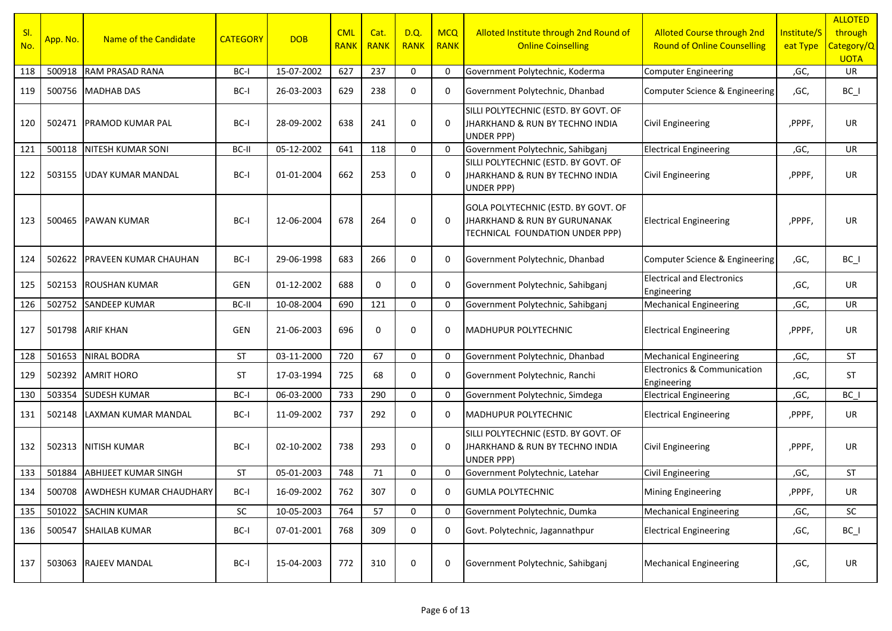| SI.<br>No. | App. No. | Name of the Candidate          | <b>CATEGORY</b> | <b>DOB</b> | <b>CML</b><br><b>RANK</b> | Cat.<br><b>RANK</b> | D.Q.<br><b>RANK</b> | <b>MCQ</b><br><b>RANK</b> | Alloted Institute through 2nd Round of<br><b>Online Coinselling</b>                                               | <b>Alloted Course through 2nd</b><br><b>Round of Online Counselling</b> | Institute/S<br>eat Type | <b>ALLOTED</b><br>through<br>Category/Q<br><b>UOTA</b> |
|------------|----------|--------------------------------|-----------------|------------|---------------------------|---------------------|---------------------|---------------------------|-------------------------------------------------------------------------------------------------------------------|-------------------------------------------------------------------------|-------------------------|--------------------------------------------------------|
| 118        | 500918   | RAM PRASAD RANA                | BC-I            | 15-07-2002 | 627                       | 237                 | 0                   | $\overline{0}$            | Government Polytechnic, Koderma                                                                                   | <b>Computer Engineering</b>                                             | ,GC,                    | <b>UR</b>                                              |
| 119        |          | 500756 MADHAB DAS              | BC-I            | 26-03-2003 | 629                       | 238                 | 0                   | 0                         | Government Polytechnic, Dhanbad                                                                                   | Computer Science & Engineering                                          | ,GC,                    | $BC_$                                                  |
| 120        |          | 502471 PRAMOD KUMAR PAL        | BC-I            | 28-09-2002 | 638                       | 241                 | $\mathbf 0$         | $\Omega$                  | SILLI POLYTECHNIC (ESTD. BY GOVT. OF<br>JHARKHAND & RUN BY TECHNO INDIA<br><b>UNDER PPP)</b>                      | <b>Civil Engineering</b>                                                | ,PPPF,                  | <b>UR</b>                                              |
| 121        |          | 500118 NITESH KUMAR SONI       | BC-II           | 05-12-2002 | 641                       | 118                 | $\mathbf 0$         | $\Omega$                  | Government Polytechnic, Sahibganj                                                                                 | <b>Electrical Engineering</b>                                           | ,GC,                    | <b>UR</b>                                              |
| 122        |          | 503155 UDAY KUMAR MANDAL       | BC-I            | 01-01-2004 | 662                       | 253                 | $\mathbf 0$         | $\Omega$                  | SILLI POLYTECHNIC (ESTD. BY GOVT. OF<br>JHARKHAND & RUN BY TECHNO INDIA<br>UNDER PPP)                             | <b>Civil Engineering</b>                                                | ,PPPF,                  | <b>UR</b>                                              |
| 123        |          | 500465 PAWAN KUMAR             | BC-I            | 12-06-2004 | 678                       | 264                 | $\mathbf 0$         | $\Omega$                  | GOLA POLYTECHNIC (ESTD. BY GOVT. OF<br><b>JHARKHAND &amp; RUN BY GURUNANAK</b><br>TECHNICAL FOUNDATION UNDER PPP) | <b>Electrical Engineering</b>                                           | ,PPPF,                  | UR                                                     |
| 124        | 502622   | <b>PRAVEEN KUMAR CHAUHAN</b>   | BC-I            | 29-06-1998 | 683                       | 266                 | $\mathbf 0$         | 0                         | Government Polytechnic, Dhanbad                                                                                   | Computer Science & Engineering                                          | ,GC,                    | $BC_$                                                  |
| 125        |          | 502153 ROUSHAN KUMAR           | GEN             | 01-12-2002 | 688                       | 0                   | $\mathbf 0$         | 0                         | Government Polytechnic, Sahibganj                                                                                 | <b>Electrical and Electronics</b><br>Engineering                        | ,GC,                    | <b>UR</b>                                              |
| 126        | 502752   | <b>SANDEEP KUMAR</b>           | BC-II           | 10-08-2004 | 690                       | 121                 | $\mathbf 0$         | $\mathbf 0$               | Government Polytechnic, Sahibganj                                                                                 | <b>Mechanical Engineering</b>                                           | ,GC,                    | <b>UR</b>                                              |
| 127        |          | 501798 ARIF KHAN               | GEN             | 21-06-2003 | 696                       | 0                   | $\mathbf 0$         | 0                         | MADHUPUR POLYTECHNIC                                                                                              | <b>Electrical Engineering</b>                                           | ,PPPF,                  | UR.                                                    |
| 128        | 501653   | <b>NIRAL BODRA</b>             | <b>ST</b>       | 03-11-2000 | 720                       | 67                  | 0                   | $\mathbf 0$               | Government Polytechnic, Dhanbad                                                                                   | <b>Mechanical Engineering</b>                                           | ,GC,                    | <b>ST</b>                                              |
| 129        |          | 502392 AMRIT HORO              | <b>ST</b>       | 17-03-1994 | 725                       | 68                  | $\mathbf 0$         | 0                         | Government Polytechnic, Ranchi                                                                                    | <b>Electronics &amp; Communication</b><br>Engineering                   | ,GC,                    | ST                                                     |
| 130        | 503354   | <b>SUDESH KUMAR</b>            | BC-I            | 06-03-2000 | 733                       | 290                 | $\mathbf 0$         | $\mathbf 0$               | Government Polytechnic, Simdega                                                                                   | <b>Electrical Engineering</b>                                           | ,GC,                    | BC I                                                   |
| 131        |          | 502148 LAXMAN KUMAR MANDAL     | BC-I            | 11-09-2002 | 737                       | 292                 | 0                   | $\Omega$                  | <b>MADHUPUR POLYTECHNIC</b>                                                                                       | <b>Electrical Engineering</b>                                           | ,PPPF,                  | <b>UR</b>                                              |
| 132        | 502313   | <b>NITISH KUMAR</b>            | BC-I            | 02-10-2002 | 738                       | 293                 | $\mathbf 0$         | $\Omega$                  | SILLI POLYTECHNIC (ESTD. BY GOVT. OF<br>JHARKHAND & RUN BY TECHNO INDIA<br><b>UNDER PPP)</b>                      | <b>Civil Engineering</b>                                                | ,PPPF,                  | <b>UR</b>                                              |
| 133        | 501884   | <b>ABHIJEET KUMAR SINGH</b>    | <b>ST</b>       | 05-01-2003 | 748                       | 71                  | 0                   | $\mathbf 0$               | Government Polytechnic, Latehar                                                                                   | Civil Engineering                                                       | ,GC,                    | <b>ST</b>                                              |
| 134        |          | 500708 AWDHESH KUMAR CHAUDHARY | BC-I            | 16-09-2002 | 762                       | 307                 | $\mathbf 0$         | $\mathbf 0$               | <b>GUMLA POLYTECHNIC</b>                                                                                          | <b>Mining Engineering</b>                                               | ,PPPF,                  | UR                                                     |
| 135        | 501022   | <b>SACHIN KUMAR</b>            | SC              | 10-05-2003 | 764                       | 57                  | $\mathbf 0$         | $\mathbf 0$               | Government Polytechnic, Dumka                                                                                     | <b>Mechanical Engineering</b>                                           | ,GC,                    | SC                                                     |
| 136        | 500547   | <b>SHAILAB KUMAR</b>           | BC-I            | 07-01-2001 | 768                       | 309                 | 0                   | 0                         | Govt. Polytechnic, Jagannathpur                                                                                   | <b>Electrical Engineering</b>                                           | ,GC,                    | $BC_$                                                  |
| 137        |          | 503063 RAJEEV MANDAL           | BC-I            | 15-04-2003 | 772                       | 310                 | 0                   | 0                         | Government Polytechnic, Sahibganj                                                                                 | <b>Mechanical Engineering</b>                                           | ,GC,                    | UR                                                     |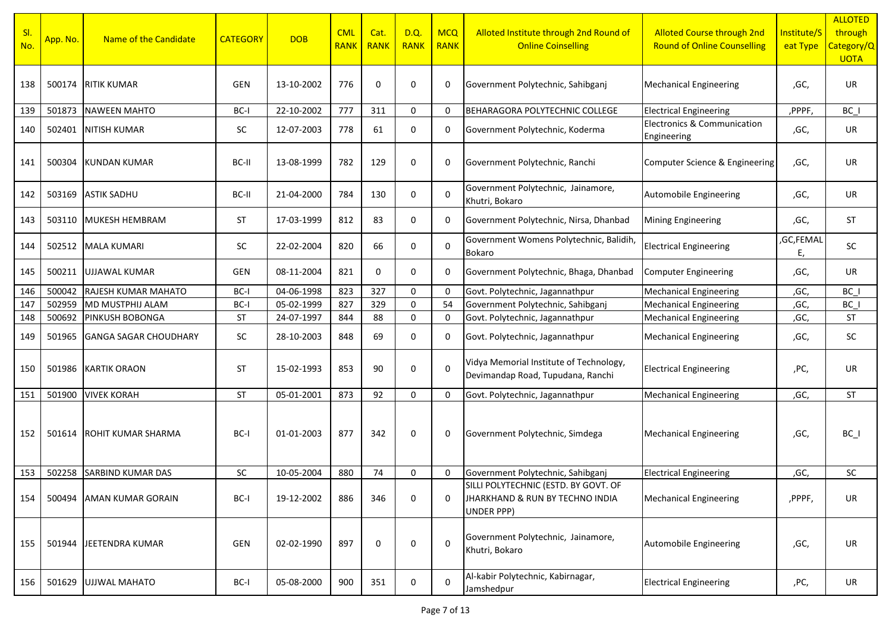| SI.<br>No. | App. No. | Name of the Candidate        | <b>CATEGORY</b> | <b>DOB</b> | <b>CML</b><br><b>RANK</b> | Cat.<br><b>RANK</b> | D.Q.<br><b>RANK</b> | <b>MCQ</b><br><b>RANK</b> | Alloted Institute through 2nd Round of<br><b>Online Coinselling</b>                   | <b>Alloted Course through 2nd</b><br><b>Round of Online Counselling</b> | Institute/S<br>eat Type | <b>ALLOTED</b><br>through<br>Category/Q<br><b>UOTA</b> |
|------------|----------|------------------------------|-----------------|------------|---------------------------|---------------------|---------------------|---------------------------|---------------------------------------------------------------------------------------|-------------------------------------------------------------------------|-------------------------|--------------------------------------------------------|
| 138        | 500174   | <b>RITIK KUMAR</b>           | <b>GEN</b>      | 13-10-2002 | 776                       | 0                   | 0                   | 0                         | Government Polytechnic, Sahibganj                                                     | <b>Mechanical Engineering</b>                                           | ,GC,                    | UR                                                     |
| 139        | 501873   | <b>NAWEEN MAHTO</b>          | BC-I            | 22-10-2002 | 777                       | 311                 | 0                   | $\mathbf 0$               | BEHARAGORA POLYTECHNIC COLLEGE                                                        | <b>Electrical Engineering</b>                                           | ,PPPF,                  | BC I                                                   |
| 140        | 502401   | <b>NITISH KUMAR</b>          | <b>SC</b>       | 12-07-2003 | 778                       | 61                  | 0                   | 0                         | Government Polytechnic, Koderma                                                       | <b>Electronics &amp; Communication</b><br>Engineering                   | ,GC,                    | UR                                                     |
| 141        | 500304   | KUNDAN KUMAR                 | BC-II           | 13-08-1999 | 782                       | 129                 | 0                   | 0                         | Government Polytechnic, Ranchi                                                        | Computer Science & Engineering                                          | ,GC,                    | UR                                                     |
| 142        | 503169   | <b>ASTIK SADHU</b>           | BC-II           | 21-04-2000 | 784                       | 130                 | 0                   | $\Omega$                  | Government Polytechnic, Jainamore,<br>Khutri, Bokaro                                  | Automobile Engineering                                                  | ,GC,                    | UR                                                     |
| 143        | 503110   | MUKESH HEMBRAM               | <b>ST</b>       | 17-03-1999 | 812                       | 83                  | 0                   | 0                         | Government Polytechnic, Nirsa, Dhanbad                                                | <b>Mining Engineering</b>                                               | ,GC,                    | <b>ST</b>                                              |
| 144        | 502512   | <b>MALA KUMARI</b>           | <b>SC</b>       | 22-02-2004 | 820                       | 66                  | 0                   | $\mathbf 0$               | Government Womens Polytechnic, Balidih,<br>Bokaro                                     | <b>Electrical Engineering</b>                                           | ,GC,FEMAL<br>Ε,         | <b>SC</b>                                              |
| 145        | 500211   | UJJAWAL KUMAR                | GEN             | 08-11-2004 | 821                       | 0                   | 0                   | 0                         | Government Polytechnic, Bhaga, Dhanbad                                                | <b>Computer Engineering</b>                                             | ,GC,                    | UR                                                     |
| 146        | 500042   | RAJESH KUMAR MAHATO          | BC-I            | 04-06-1998 | 823                       | 327                 | 0                   | $\overline{0}$            | Govt. Polytechnic, Jagannathpur                                                       | <b>Mechanical Engineering</b>                                           | ,GC,                    | BC                                                     |
| 147        | 502959   | MD MUSTPHIJ ALAM             | BC-I            | 05-02-1999 | 827                       | 329                 | 0                   | 54                        | Government Polytechnic, Sahibganj                                                     | <b>Mechanical Engineering</b>                                           | ,GC,                    | $BC_$                                                  |
| 148        | 500692   | PINKUSH BOBONGA              | <b>ST</b>       | 24-07-1997 | 844                       | 88                  | $\mathbf 0$         | 0                         | Govt. Polytechnic, Jagannathpur                                                       | <b>Mechanical Engineering</b>                                           | ,GC,                    | <b>ST</b>                                              |
| 149        | 501965   | <b>GANGA SAGAR CHOUDHARY</b> | SC              | 28-10-2003 | 848                       | 69                  | 0                   | 0                         | Govt. Polytechnic, Jagannathpur                                                       | <b>Mechanical Engineering</b>                                           | ,GC,                    | SC                                                     |
| 150        | 501986   | KARTIK ORAON                 | <b>ST</b>       | 15-02-1993 | 853                       | 90                  | 0                   | $\Omega$                  | Vidya Memorial Institute of Technology,<br>Devimandap Road, Tupudana, Ranchi          | <b>Electrical Engineering</b>                                           | ,PC,                    | UR                                                     |
| 151        | 501900   | <b>VIVEK KORAH</b>           | <b>ST</b>       | 05-01-2001 | 873                       | 92                  | 0                   | 0                         | Govt. Polytechnic, Jagannathpur                                                       | <b>Mechanical Engineering</b>                                           | ,GC,                    | <b>ST</b>                                              |
| 152        | 501614   | ROHIT KUMAR SHARMA           | BC-I            | 01-01-2003 | 877                       | 342                 | 0                   | 0                         | Government Polytechnic, Simdega                                                       | <b>Mechanical Engineering</b>                                           | ,GC,                    | $BC_$                                                  |
| 153        | 502258   | <b>SARBIND KUMAR DAS</b>     | <b>SC</b>       | 10-05-2004 | 880                       | 74                  | 0                   | 0                         | Government Polytechnic, Sahibganj                                                     | <b>Electrical Engineering</b>                                           | ,GC,                    | SC                                                     |
| 154        | 500494   | <b>AMAN KUMAR GORAIN</b>     | BC-I            | 19-12-2002 | 886                       | 346                 | 0                   | $\mathbf 0$               | SILLI POLYTECHNIC (ESTD. BY GOVT. OF<br>JHARKHAND & RUN BY TECHNO INDIA<br>UNDER PPP) | <b>Mechanical Engineering</b>                                           | ,PPPF,                  | UR                                                     |
| 155        | 501944   | <b>JEETENDRA KUMAR</b>       | <b>GEN</b>      | 02-02-1990 | 897                       | 0                   | 0                   | $\mathbf 0$               | Government Polytechnic, Jainamore,<br>Khutri, Bokaro                                  | Automobile Engineering                                                  | ,GC,                    | UR                                                     |
| 156        | 501629   | <b>UJJWAL MAHATO</b>         | BC-I            | 05-08-2000 | 900                       | 351                 | 0                   | $\mathbf 0$               | Al-kabir Polytechnic, Kabirnagar,<br>Jamshedpur                                       | <b>Electrical Engineering</b>                                           | ,PC,                    | UR                                                     |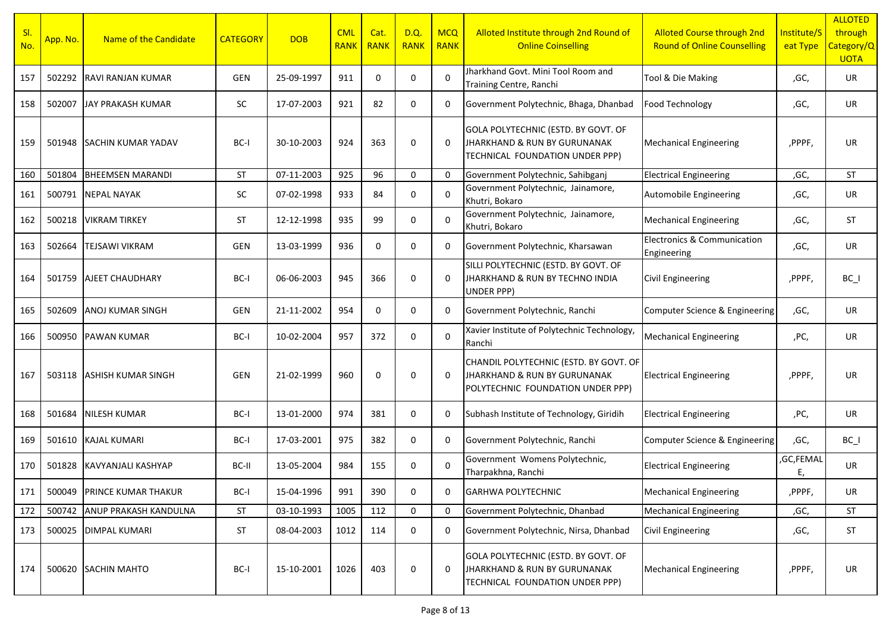| SI.<br>No. | App. No. | Name of the Candidate        | <b>CATEGORY</b> | <b>DOB</b> | <b>CML</b><br><b>RANK</b> | Cat.<br><b>RANK</b> | D.Q.<br><b>RANK</b> | <b>MCQ</b><br><b>RANK</b> | Alloted Institute through 2nd Round of<br><b>Online Coinselling</b>                                         | <b>Alloted Course through 2nd</b><br><b>Round of Online Counselling</b> | Institute/S<br>eat Type | <b>ALLOTED</b><br>through<br>Category/Q<br><b>UOTA</b> |
|------------|----------|------------------------------|-----------------|------------|---------------------------|---------------------|---------------------|---------------------------|-------------------------------------------------------------------------------------------------------------|-------------------------------------------------------------------------|-------------------------|--------------------------------------------------------|
| 157        | 502292   | <b>RAVI RANJAN KUMAR</b>     | <b>GEN</b>      | 25-09-1997 | 911                       | 0                   | 0                   | $\Omega$                  | Jharkhand Govt. Mini Tool Room and<br>Training Centre, Ranchi                                               | Tool & Die Making                                                       | ,GC,                    | UR                                                     |
| 158        | 502007   | JAY PRAKASH KUMAR            | <b>SC</b>       | 17-07-2003 | 921                       | 82                  | $\mathbf 0$         | 0                         | Government Polytechnic, Bhaga, Dhanbad                                                                      | Food Technology                                                         | ,GC,                    | UR                                                     |
| 159        | 501948   | <b>SACHIN KUMAR YADAV</b>    | BC-I            | 30-10-2003 | 924                       | 363                 | 0                   | 0                         | GOLA POLYTECHNIC (ESTD. BY GOVT. OF<br>JHARKHAND & RUN BY GURUNANAK<br>TECHNICAL FOUNDATION UNDER PPP)      | <b>Mechanical Engineering</b>                                           | ,PPPF,                  | UR                                                     |
| 160        | 501804   | <b>BHEEMSEN MARANDI</b>      | <b>ST</b>       | 07-11-2003 | 925                       | 96                  | $\mathbf 0$         | $\Omega$                  | Government Polytechnic, Sahibganj                                                                           | <b>Electrical Engineering</b>                                           | ,GC,                    | <b>ST</b>                                              |
| 161        | 500791   | <b>NEPAL NAYAK</b>           | SC              | 07-02-1998 | 933                       | 84                  | $\mathbf 0$         | $\Omega$                  | Government Polytechnic, Jainamore,<br>Khutri, Bokaro                                                        | Automobile Engineering                                                  | ,GC,                    | UR                                                     |
| 162        | 500218   | <b>VIKRAM TIRKEY</b>         | <b>ST</b>       | 12-12-1998 | 935                       | 99                  | $\mathbf 0$         | $\Omega$                  | Government Polytechnic, Jainamore,<br>Khutri, Bokaro                                                        | <b>Mechanical Engineering</b>                                           | ,GC,                    | <b>ST</b>                                              |
| 163        | 502664   | <b>TEJSAWI VIKRAM</b>        | GEN             | 13-03-1999 | 936                       | $\mathbf 0$         | $\Omega$            | $\Omega$                  | Government Polytechnic, Kharsawan                                                                           | Electronics & Communication<br>Engineering                              | ,GC,                    | <b>UR</b>                                              |
| 164        | 501759   | <b>AJEET CHAUDHARY</b>       | BC-I            | 06-06-2003 | 945                       | 366                 | 0                   | 0                         | SILLI POLYTECHNIC (ESTD. BY GOVT. OF<br>JHARKHAND & RUN BY TECHNO INDIA<br>UNDER PPP)                       | <b>Civil Engineering</b>                                                | ,PPPF,                  | $BC_$                                                  |
| 165        | 502609   | <b>ANOJ KUMAR SINGH</b>      | <b>GEN</b>      | 21-11-2002 | 954                       | 0                   | $\mathbf 0$         | 0                         | Government Polytechnic, Ranchi                                                                              | Computer Science & Engineering                                          | ,GC,                    | UR                                                     |
| 166        | 500950   | <b>PAWAN KUMAR</b>           | BC-I            | 10-02-2004 | 957                       | 372                 | $\mathbf 0$         | $\Omega$                  | Xavier Institute of Polytechnic Technology,<br>Ranchi                                                       | <b>Mechanical Engineering</b>                                           | ,PC,                    | UR.                                                    |
| 167        | 503118   | <b>ASHISH KUMAR SINGH</b>    | <b>GEN</b>      | 21-02-1999 | 960                       | 0                   | 0                   | $\Omega$                  | CHANDIL POLYTECHNIC (ESTD. BY GOVT. OF<br>JHARKHAND & RUN BY GURUNANAK<br>POLYTECHNIC FOUNDATION UNDER PPP) | <b>Electrical Engineering</b>                                           | ,PPPF,                  | UR                                                     |
| 168        | 501684   | <b>NILESH KUMAR</b>          | BC-I            | 13-01-2000 | 974                       | 381                 | $\mathbf 0$         | 0                         | Subhash Institute of Technology, Giridih                                                                    | <b>Electrical Engineering</b>                                           | ,PC,                    | <b>UR</b>                                              |
| 169        | 501610   | <b>KAJAL KUMARI</b>          | BC-I            | 17-03-2001 | 975                       | 382                 | $\mathbf 0$         | 0                         | Government Polytechnic, Ranchi                                                                              | Computer Science & Engineering                                          | ,GC,                    | $BC_$                                                  |
| 170        | 501828   | KAVYANJALI KASHYAP           | BC-II           | 13-05-2004 | 984                       | 155                 | 0                   | $\Omega$                  | Government Womens Polytechnic,<br>Tharpakhna, Ranchi                                                        | <b>Electrical Engineering</b>                                           | ,GC,FEMAL<br>E,         | UR                                                     |
| 171        |          | 500049 PRINCE KUMAR THAKUR   | $BC-I$          | 15-04-1996 | 991                       | 390                 | $\mathbf 0$         | 0                         | <b>GARHWA POLYTECHNIC</b>                                                                                   | <b>Mechanical Engineering</b>                                           | ,PPPF,                  | UR                                                     |
| 172        | 500742   | <b>ANUP PRAKASH KANDULNA</b> | ST              | 03-10-1993 | 1005                      | 112                 | 0                   | $\mathbf 0$               | Government Polytechnic, Dhanbad                                                                             | <b>Mechanical Engineering</b>                                           | ,GC,                    | ST                                                     |
| 173        | 500025   | <b>DIMPAL KUMARI</b>         | <b>ST</b>       | 08-04-2003 | 1012                      | 114                 | 0                   | 0                         | Government Polytechnic, Nirsa, Dhanbad                                                                      | <b>Civil Engineering</b>                                                | ,GC,                    | ST                                                     |
| 174        | 500620   | <b>SACHIN MAHTO</b>          | BC-I            | 15-10-2001 | 1026                      | 403                 | $\pmb{0}$           | 0                         | GOLA POLYTECHNIC (ESTD. BY GOVT. OF<br>JHARKHAND & RUN BY GURUNANAK<br>TECHNICAL FOUNDATION UNDER PPP)      | <b>Mechanical Engineering</b>                                           | ,PPPF,                  | UR                                                     |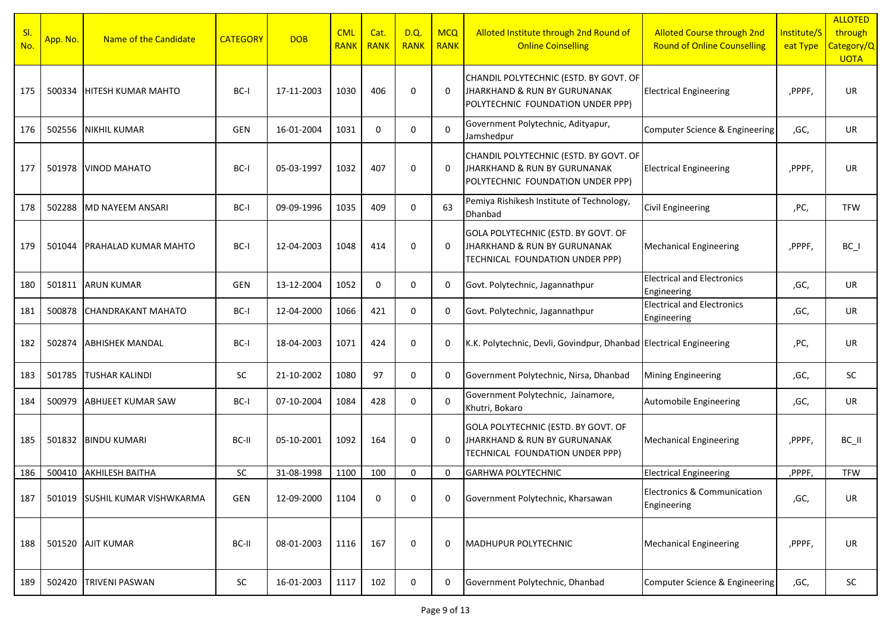| SI.<br>No. | App. No. | Name of the Candidate          | <b>CATEGORY</b> | <b>DOB</b> | <b>CML</b><br><b>RANK</b> | Cat.<br><b>RANK</b> | <b>D.Q.</b><br><b>RANK</b> | <b>MCQ</b><br><b>RANK</b> | Alloted Institute through 2nd Round of<br><b>Online Coinselling</b>                                                    | <b>Alloted Course through 2nd</b><br><b>Round of Online Counselling</b> | Institute/S<br>eat Type | <b>ALLOTED</b><br>through<br>Category/Q<br><b>UOTA</b> |
|------------|----------|--------------------------------|-----------------|------------|---------------------------|---------------------|----------------------------|---------------------------|------------------------------------------------------------------------------------------------------------------------|-------------------------------------------------------------------------|-------------------------|--------------------------------------------------------|
| 175        | 500334   | <b>HITESH KUMAR MAHTO</b>      | BC-I            | 17-11-2003 | 1030                      | 406                 | $\mathbf 0$                | $\Omega$                  | CHANDIL POLYTECHNIC (ESTD. BY GOVT. OF<br><b>JHARKHAND &amp; RUN BY GURUNANAK</b><br>POLYTECHNIC FOUNDATION UNDER PPP) | <b>Electrical Engineering</b>                                           | ,PPPF,                  | <b>UR</b>                                              |
| 176        | 502556   | <b>NIKHIL KUMAR</b>            | GEN             | 16-01-2004 | 1031                      | $\mathbf 0$         | 0                          | $\Omega$                  | Government Polytechnic, Adityapur,<br>Jamshedpur                                                                       | Computer Science & Engineering                                          | ,GC,                    | UR                                                     |
| 177        | 501978   | <b>VINOD MAHATO</b>            | BC-I            | 05-03-1997 | 1032                      | 407                 | $\mathbf 0$                | $\Omega$                  | CHANDIL POLYTECHNIC (ESTD. BY GOVT. OF<br>JHARKHAND & RUN BY GURUNANAK<br>POLYTECHNIC FOUNDATION UNDER PPP)            | <b>Electrical Engineering</b>                                           | ,PPPF,                  | UR                                                     |
| 178        | 502288   | <b>MD NAYEEM ANSARI</b>        | BC-I            | 09-09-1996 | 1035                      | 409                 | $\Omega$                   | 63                        | Pemiya Rishikesh Institute of Technology,<br>Dhanbad                                                                   | Civil Engineering                                                       | ,PC,                    | <b>TFW</b>                                             |
| 179        | 501044   | <b>PRAHALAD KUMAR MAHTO</b>    | BC-I            | 12-04-2003 | 1048                      | 414                 | $\Omega$                   | $\Omega$                  | GOLA POLYTECHNIC (ESTD. BY GOVT. OF<br>JHARKHAND & RUN BY GURUNANAK<br>TECHNICAL FOUNDATION UNDER PPP)                 | <b>Mechanical Engineering</b>                                           | ,PPPF,                  | $BC_$                                                  |
| 180        | 501811   | <b>ARUN KUMAR</b>              | GEN             | 13-12-2004 | 1052                      | $\mathbf 0$         | $\mathbf 0$                | 0                         | Govt. Polytechnic, Jagannathpur                                                                                        | <b>Electrical and Electronics</b><br>Engineering                        | ,GC,                    | UR                                                     |
| 181        | 500878   | <b>CHANDRAKANT MAHATO</b>      | BC-I            | 12-04-2000 | 1066                      | 421                 | $\mathbf 0$                | 0                         | Govt. Polytechnic, Jagannathpur                                                                                        | <b>Electrical and Electronics</b><br>Engineering                        | ,GC,                    | UR                                                     |
| 182        | 502874   | <b>ABHISHEK MANDAL</b>         | BC-I            | 18-04-2003 | 1071                      | 424                 | $\mathbf 0$                | 0                         | K.K. Polytechnic, Devli, Govindpur, Dhanbad Electrical Engineering                                                     |                                                                         | ,PC,                    | UR                                                     |
| 183        | 501785   | <b>TUSHAR KALINDI</b>          | <b>SC</b>       | 21-10-2002 | 1080                      | 97                  | $\mathbf 0$                | $\mathbf 0$               | Government Polytechnic, Nirsa, Dhanbad                                                                                 | Mining Engineering                                                      | ,GC,                    | SC                                                     |
| 184        | 500979   | <b>ABHIJEET KUMAR SAW</b>      | BC-I            | 07-10-2004 | 1084                      | 428                 | $\mathbf 0$                | $\Omega$                  | Government Polytechnic, Jainamore,<br>Khutri, Bokaro                                                                   | Automobile Engineering                                                  | ,GC,                    | UR                                                     |
| 185        | 501832   | <b>BINDU KUMARI</b>            | BC-II           | 05-10-2001 | 1092                      | 164                 | $\mathbf 0$                | $\Omega$                  | GOLA POLYTECHNIC (ESTD. BY GOVT. OF<br>JHARKHAND & RUN BY GURUNANAK<br>TECHNICAL FOUNDATION UNDER PPP)                 | <b>Mechanical Engineering</b>                                           | ,PPPF,                  | BC_II                                                  |
| 186        | 500410   | <b>AKHILESH BAITHA</b>         | SC              | 31-08-1998 | 1100                      | 100                 | $\mathbf 0$                | $\Omega$                  | <b>GARHWA POLYTECHNIC</b>                                                                                              | <b>Electrical Engineering</b>                                           | ,PPPF,                  | <b>TFW</b>                                             |
| 187        | 501019   | <b>SUSHIL KUMAR VISHWKARMA</b> | GEN             | 12-09-2000 | 1104                      | $\mathbf 0$         | $\mathbf 0$                | 0                         | Government Polytechnic, Kharsawan                                                                                      | Electronics & Communication<br>Engineering                              | ,GC,                    | UR                                                     |
| 188        | 501520   | <b>AJIT KUMAR</b>              | BC-II           | 08-01-2003 | 1116                      | 167                 | $\mathbf 0$                | 0                         | MADHUPUR POLYTECHNIC                                                                                                   | <b>Mechanical Engineering</b>                                           | ,PPPF,                  | UR                                                     |
| 189        | 502420   | <b>TRIVENI PASWAN</b>          | SC              | 16-01-2003 | 1117                      | 102                 | $\mathbf 0$                | 0                         | Government Polytechnic, Dhanbad                                                                                        | Computer Science & Engineering                                          | ,GC,                    | SC                                                     |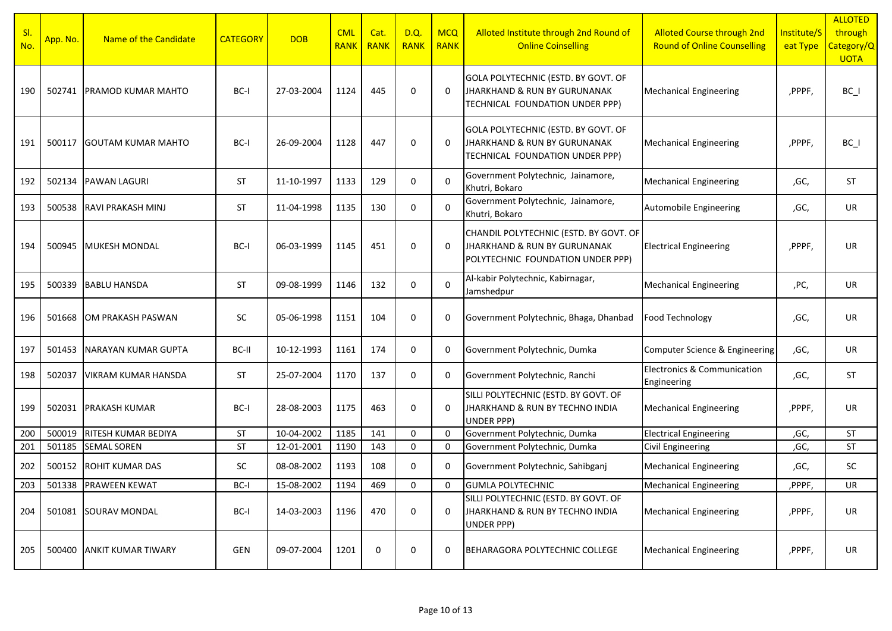| SI.<br>No. | App. No. | Name of the Candidate      | <b>CATEGORY</b> | <b>DOB</b> | <b>CML</b><br><b>RANK</b> | Cat.<br><b>RANK</b> | D.Q.<br><b>RANK</b> | <b>MCQ</b><br><b>RANK</b> | Alloted Institute through 2nd Round of<br><b>Online Coinselling</b>                                                    | <b>Alloted Course through 2nd</b><br><b>Round of Online Counselling</b> | Institute/S<br>eat Type | <b>ALLOTED</b><br>through<br>Category/Q<br><b>UOTA</b> |
|------------|----------|----------------------------|-----------------|------------|---------------------------|---------------------|---------------------|---------------------------|------------------------------------------------------------------------------------------------------------------------|-------------------------------------------------------------------------|-------------------------|--------------------------------------------------------|
| 190        | 502741   | <b>IPRAMOD KUMAR MAHTO</b> | BC-I            | 27-03-2004 | 1124                      | 445                 | 0                   | $\Omega$                  | GOLA POLYTECHNIC (ESTD. BY GOVT. OF<br>JHARKHAND & RUN BY GURUNANAK<br>TECHNICAL FOUNDATION UNDER PPP)                 | <b>Mechanical Engineering</b>                                           | ,PPPF,                  | $BC_$                                                  |
| 191        | 500117   | <b>GOUTAM KUMAR MAHTO</b>  | BC-I            | 26-09-2004 | 1128                      | 447                 | 0                   | 0                         | GOLA POLYTECHNIC (ESTD. BY GOVT. OF<br>JHARKHAND & RUN BY GURUNANAK<br>TECHNICAL FOUNDATION UNDER PPP)                 | <b>Mechanical Engineering</b>                                           | ,PPPF,                  | $BC_$                                                  |
| 192        | 502134   | <b>PAWAN LAGURI</b>        | <b>ST</b>       | 11-10-1997 | 1133                      | 129                 | 0                   | $\Omega$                  | Government Polytechnic, Jainamore,<br>Khutri, Bokaro                                                                   | <b>Mechanical Engineering</b>                                           | ,GC,                    | <b>ST</b>                                              |
| 193        | 500538   | <b>RAVI PRAKASH MINJ</b>   | <b>ST</b>       | 11-04-1998 | 1135                      | 130                 | 0                   | $\Omega$                  | Government Polytechnic, Jainamore,<br>Khutri, Bokaro                                                                   | Automobile Engineering                                                  | ,GC,                    | UR                                                     |
| 194        | 500945   | <b>MUKESH MONDAL</b>       | BC-I            | 06-03-1999 | 1145                      | 451                 | $\mathbf 0$         | $\Omega$                  | CHANDIL POLYTECHNIC (ESTD. BY GOVT. OF<br><b>JHARKHAND &amp; RUN BY GURUNANAK</b><br>POLYTECHNIC FOUNDATION UNDER PPP) | <b>Electrical Engineering</b>                                           | ,PPPF,                  | UR                                                     |
| 195        | 500339   | <b>BABLU HANSDA</b>        | <b>ST</b>       | 09-08-1999 | 1146                      | 132                 | 0                   | $\Omega$                  | Al-kabir Polytechnic, Kabirnagar,<br>Jamshedpur                                                                        | <b>Mechanical Engineering</b>                                           | ,PC,                    | UR                                                     |
| 196        | 501668   | OM PRAKASH PASWAN          | <b>SC</b>       | 05-06-1998 | 1151                      | 104                 | 0                   | 0                         | Government Polytechnic, Bhaga, Dhanbad                                                                                 | Food Technology                                                         | ,GC,                    | UR                                                     |
| 197        | 501453   | NARAYAN KUMAR GUPTA        | BC-II           | 10-12-1993 | 1161                      | 174                 | 0                   | 0                         | Government Polytechnic, Dumka                                                                                          | Computer Science & Engineering                                          | ,GC,                    | UR                                                     |
| 198        | 502037   | <b>VIKRAM KUMAR HANSDA</b> | <b>ST</b>       | 25-07-2004 | 1170                      | 137                 | 0                   | 0                         | Government Polytechnic, Ranchi                                                                                         | <b>Electronics &amp; Communication</b><br>Engineering                   | ,GC,                    | <b>ST</b>                                              |
| 199        | 502031   | PRAKASH KUMAR              | BC-I            | 28-08-2003 | 1175                      | 463                 | 0                   | $\Omega$                  | SILLI POLYTECHNIC (ESTD. BY GOVT. OF<br>JHARKHAND & RUN BY TECHNO INDIA<br>UNDER PPP)                                  | <b>Mechanical Engineering</b>                                           | ,PPPF,                  | UR                                                     |
| 200        | 500019   | RITESH KUMAR BEDIYA        | ST              | 10-04-2002 | 1185                      | 141                 | 0                   | $\overline{0}$            | Government Polytechnic, Dumka                                                                                          | <b>Electrical Engineering</b>                                           | ,GC,                    | <b>ST</b>                                              |
| 201        | 501185   | <b>SEMAL SOREN</b>         | ST              | 12-01-2001 | 1190                      | 143                 | 0                   | 0                         | Government Polytechnic, Dumka                                                                                          | Civil Engineering                                                       | ,GC,                    | <b>ST</b>                                              |
| 202        | 500152   | <b>ROHIT KUMAR DAS</b>     | <b>SC</b>       | 08-08-2002 | 1193                      | 108                 | 0                   | 0                         | Government Polytechnic, Sahibganj                                                                                      | <b>Mechanical Engineering</b>                                           | ,GC,                    | <b>SC</b>                                              |
| 203        |          | 501338 PRAWEEN KEWAT       | BC-I            | 15-08-2002 | 1194                      | 469                 | $\Omega$            | $\Omega$                  | <b>GUMLA POLYTECHNIC</b>                                                                                               | <b>Mechanical Engineering</b>                                           | ,PPPF,                  | <b>UR</b>                                              |
| 204        | 501081   | <b>SOURAV MONDAL</b>       | BC-I            | 14-03-2003 | 1196                      | 470                 | 0                   | $\mathbf 0$               | SILLI POLYTECHNIC (ESTD. BY GOVT. OF<br>JHARKHAND & RUN BY TECHNO INDIA<br>UNDER PPP)                                  | <b>Mechanical Engineering</b>                                           | ,PPPF,                  | UR                                                     |
| 205        | 500400   | <b>ANKIT KUMAR TIWARY</b>  | GEN             | 09-07-2004 | 1201                      | 0                   | 0                   | 0                         | BEHARAGORA POLYTECHNIC COLLEGE                                                                                         | <b>Mechanical Engineering</b>                                           | ,PPPF,                  | UR                                                     |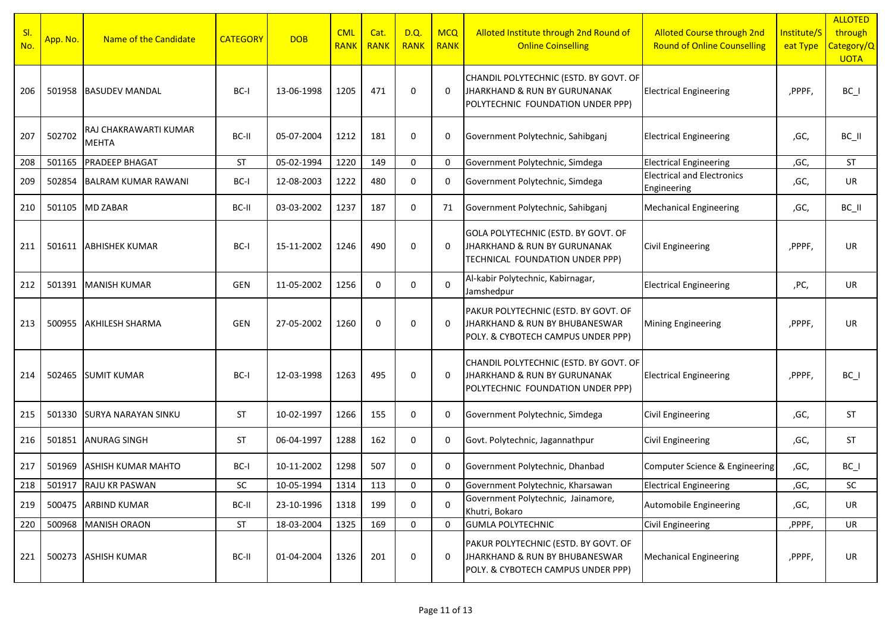| SI.<br>No. | App. No. | Name of the Candidate                 | <b>CATEGORY</b> | <b>DOB</b> | <b>CML</b><br><b>RANK</b> | Cat.<br><b>RANK</b> | D.Q.<br><b>RANK</b> | <b>MCQ</b><br><b>RANK</b> | Alloted Institute through 2nd Round of<br><b>Online Coinselling</b>                                          | <b>Alloted Course through 2nd</b><br><b>Round of Online Counselling</b> | Institute/S<br>eat Type | <b>ALLOTED</b><br>through<br>Category/Q<br><b>UOTA</b> |
|------------|----------|---------------------------------------|-----------------|------------|---------------------------|---------------------|---------------------|---------------------------|--------------------------------------------------------------------------------------------------------------|-------------------------------------------------------------------------|-------------------------|--------------------------------------------------------|
| 206        | 501958   | <b>BASUDEV MANDAL</b>                 | BC-I            | 13-06-1998 | 1205                      | 471                 | $\mathbf 0$         | $\Omega$                  | CHANDIL POLYTECHNIC (ESTD. BY GOVT. OF<br>JHARKHAND & RUN BY GURUNANAK<br>POLYTECHNIC FOUNDATION UNDER PPP)  | <b>Electrical Engineering</b>                                           | ,PPPF,                  | $BC_$                                                  |
| 207        | 502702   | RAJ CHAKRAWARTI KUMAR<br><b>MEHTA</b> | BC-II           | 05-07-2004 | 1212                      | 181                 | 0                   | 0                         | Government Polytechnic, Sahibganj                                                                            | <b>Electrical Engineering</b>                                           | ,GC,                    | BC_II                                                  |
| 208        | 501165   | <b>PRADEEP BHAGAT</b>                 | <b>ST</b>       | 05-02-1994 | 1220                      | 149                 | 0                   | $\mathbf 0$               | Government Polytechnic, Simdega                                                                              | <b>Electrical Engineering</b>                                           | ,GC,                    | <b>ST</b>                                              |
| 209        | 502854   | <b>BALRAM KUMAR RAWANI</b>            | BC-I            | 12-08-2003 | 1222                      | 480                 | $\mathbf 0$         | 0                         | Government Polytechnic, Simdega                                                                              | <b>Electrical and Electronics</b><br>Engineering                        | ,GC,                    | UR                                                     |
| 210        | 501105   | <b>MD ZABAR</b>                       | BC-II           | 03-03-2002 | 1237                      | 187                 | 0                   | 71                        | Government Polytechnic, Sahibganj                                                                            | <b>Mechanical Engineering</b>                                           | ,GC,                    | BC_II                                                  |
| 211        | 501611   | <b>ABHISHEK KUMAR</b>                 | BC-I            | 15-11-2002 | 1246                      | 490                 | $\mathbf 0$         | $\Omega$                  | GOLA POLYTECHNIC (ESTD. BY GOVT. OF<br>JHARKHAND & RUN BY GURUNANAK<br>TECHNICAL FOUNDATION UNDER PPP)       | <b>Civil Engineering</b>                                                | ,PPPF,                  | UR                                                     |
| 212        |          | 501391 MANISH KUMAR                   | GEN             | 11-05-2002 | 1256                      | $\mathbf 0$         | 0                   | $\Omega$                  | Al-kabir Polytechnic, Kabirnagar,<br>Jamshedpur                                                              | <b>Electrical Engineering</b>                                           | ,PC,                    | UR                                                     |
| 213        | 500955   | <b>AKHILESH SHARMA</b>                | <b>GEN</b>      | 27-05-2002 | 1260                      | 0                   | $\mathbf 0$         | $\Omega$                  | PAKUR POLYTECHNIC (ESTD. BY GOVT. OF<br>JHARKHAND & RUN BY BHUBANESWAR<br>POLY. & CYBOTECH CAMPUS UNDER PPP) | <b>Mining Engineering</b>                                               | ,PPPF,                  | UR                                                     |
| 214        | 502465   | <b>SUMIT KUMAR</b>                    | BC-I            | 12-03-1998 | 1263                      | 495                 | 0                   | 0                         | CHANDIL POLYTECHNIC (ESTD. BY GOVT. OF<br>JHARKHAND & RUN BY GURUNANAK<br>POLYTECHNIC FOUNDATION UNDER PPP)  | <b>Electrical Engineering</b>                                           | ,PPPF,                  | $BC_$                                                  |
| 215        | 501330   | <b>SURYA NARAYAN SINKU</b>            | <b>ST</b>       | 10-02-1997 | 1266                      | 155                 | 0                   | $\Omega$                  | Government Polytechnic, Simdega                                                                              | Civil Engineering                                                       | ,GC,                    | ST                                                     |
| 216        | 501851   | <b>ANURAG SINGH</b>                   | <b>ST</b>       | 06-04-1997 | 1288                      | 162                 | 0                   | $\Omega$                  | Govt. Polytechnic, Jagannathpur                                                                              | Civil Engineering                                                       | ,GC,                    | <b>ST</b>                                              |
| 217        | 501969   | <b>ASHISH KUMAR MAHTO</b>             | BC-I            | 10-11-2002 | 1298                      | 507                 | $\mathbf 0$         | $\Omega$                  | Government Polytechnic, Dhanbad                                                                              | Computer Science & Engineering                                          | ,GC,                    | $BC_$                                                  |
| 218        |          | 501917 RAJU KR PASWAN                 | <b>SC</b>       | 10-05-1994 | 1314                      | 113                 | $\mathbf 0$         | $\Omega$                  | Government Polytechnic, Kharsawan                                                                            | <b>Electrical Engineering</b>                                           | ,GC,                    | SC                                                     |
| 219        | 500475   | <b>ARBIND KUMAR</b>                   | BC-II           | 23-10-1996 | 1318                      | 199                 | 0                   | $\Omega$                  | Government Polytechnic, Jainamore,<br>Khutri, Bokaro                                                         | Automobile Engineering                                                  | ,GC,                    | UR                                                     |
| 220        | 500968   | <b>MANISH ORAON</b>                   | ST              | 18-03-2004 | 1325                      | 169                 | 0                   | $\mathbf 0$               | <b>GUMLA POLYTECHNIC</b>                                                                                     | <b>Civil Engineering</b>                                                | ,PPPF,                  | UR                                                     |
| 221        |          | 500273 ASHISH KUMAR                   | BC-II           | 01-04-2004 | 1326                      | 201                 | 0                   | 0                         | PAKUR POLYTECHNIC (ESTD. BY GOVT. OF<br>JHARKHAND & RUN BY BHUBANESWAR<br>POLY. & CYBOTECH CAMPUS UNDER PPP) | <b>Mechanical Engineering</b>                                           | ,PPPF,                  | UR                                                     |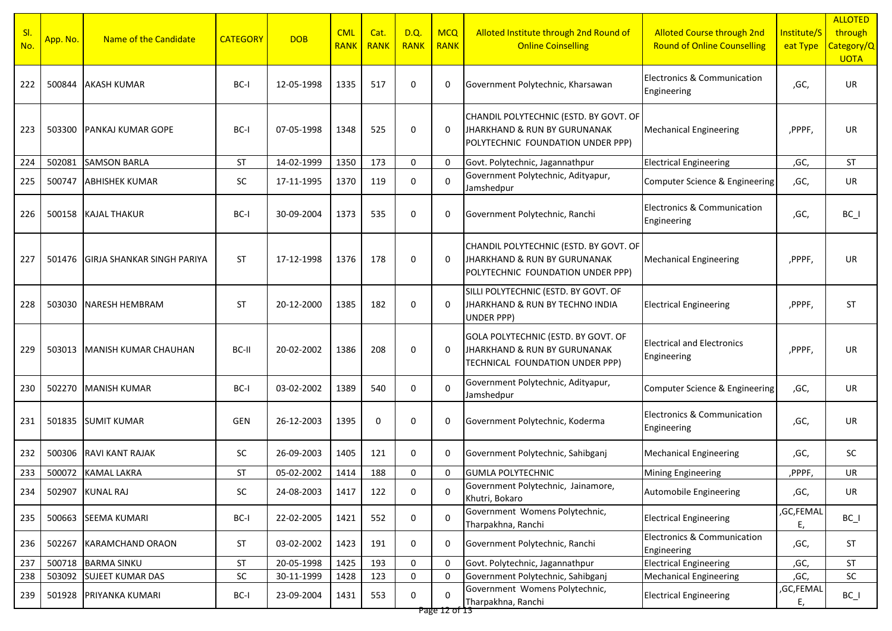| SI.<br>No. | App. No. | Name of the Candidate             | <b>CATEGORY</b> | <b>DOB</b> | <b>CML</b><br><b>RANK</b> | Cat.<br><b>RANK</b> | D.Q.<br><b>RANK</b> | <b>MCQ</b><br><b>RANK</b> | Alloted Institute through 2nd Round of<br><b>Online Coinselling</b>                                         | <b>Alloted Course through 2nd</b><br><b>Round of Online Counselling</b> | Institute/S<br>eat Type | <b>ALLOTED</b><br>through<br>Category/Q<br><b>UOTA</b> |
|------------|----------|-----------------------------------|-----------------|------------|---------------------------|---------------------|---------------------|---------------------------|-------------------------------------------------------------------------------------------------------------|-------------------------------------------------------------------------|-------------------------|--------------------------------------------------------|
| 222        | 500844   | <b>AKASH KUMAR</b>                | BC-I            | 12-05-1998 | 1335                      | 517                 | 0                   | $\mathbf 0$               | Government Polytechnic, Kharsawan                                                                           | Electronics & Communication<br>Engineering                              | ,GC,                    | UR                                                     |
| 223        | 503300   | PANKAJ KUMAR GOPE                 | BC-I            | 07-05-1998 | 1348                      | 525                 | 0                   | $\mathbf 0$               | CHANDIL POLYTECHNIC (ESTD. BY GOVT. OF<br>JHARKHAND & RUN BY GURUNANAK<br>POLYTECHNIC FOUNDATION UNDER PPP) | <b>Mechanical Engineering</b>                                           | ,PPPF,                  | UR                                                     |
| 224        | 502081   | <b>SAMSON BARLA</b>               | <b>ST</b>       | 14-02-1999 | 1350                      | 173                 | 0                   | $\Omega$                  | Govt. Polytechnic, Jagannathpur                                                                             | <b>Electrical Engineering</b>                                           | ,GC,                    | <b>ST</b>                                              |
| 225        | 500747   | <b>ABHISHEK KUMAR</b>             | <b>SC</b>       | 17-11-1995 | 1370                      | 119                 | 0                   | $\Omega$                  | Government Polytechnic, Adityapur,<br>Jamshedpur                                                            | Computer Science & Engineering                                          | ,GC,                    | UR                                                     |
| 226        | 500158   | <b>KAJAL THAKUR</b>               | BC-I            | 30-09-2004 | 1373                      | 535                 | $\mathbf 0$         | 0                         | Government Polytechnic, Ranchi                                                                              | <b>Electronics &amp; Communication</b><br>Engineering                   | ,GC,                    | $BC_$                                                  |
| 227        | 501476   | <b>GIRJA SHANKAR SINGH PARIYA</b> | <b>ST</b>       | 17-12-1998 | 1376                      | 178                 | $\mathbf 0$         | $\Omega$                  | CHANDIL POLYTECHNIC (ESTD. BY GOVT. OF<br>JHARKHAND & RUN BY GURUNANAK<br>POLYTECHNIC FOUNDATION UNDER PPP) | <b>Mechanical Engineering</b>                                           | ,PPPF,                  | UR                                                     |
| 228        | 503030   | NARESH HEMBRAM                    | <b>ST</b>       | 20-12-2000 | 1385                      | 182                 | 0                   | $\Omega$                  | SILLI POLYTECHNIC (ESTD. BY GOVT. OF<br>JHARKHAND & RUN BY TECHNO INDIA<br>UNDER PPP)                       | <b>Electrical Engineering</b>                                           | ,PPPF,                  | <b>ST</b>                                              |
| 229        | 503013   | MANISH KUMAR CHAUHAN              | BC-II           | 20-02-2002 | 1386                      | 208                 | 0                   | $\Omega$                  | GOLA POLYTECHNIC (ESTD. BY GOVT. OF<br>JHARKHAND & RUN BY GURUNANAK<br>TECHNICAL FOUNDATION UNDER PPP)      | <b>Electrical and Electronics</b><br>Engineering                        | ,PPPF,                  | UR                                                     |
| 230        | 502270   | <b>MANISH KUMAR</b>               | BC-I            | 03-02-2002 | 1389                      | 540                 | 0                   | $\Omega$                  | Government Polytechnic, Adityapur,<br>Jamshedpur                                                            | Computer Science & Engineering                                          | ,GC,                    | UR                                                     |
| 231        | 501835   | SUMIT KUMAR                       | <b>GEN</b>      | 26-12-2003 | 1395                      | 0                   | 0                   | 0                         | Government Polytechnic, Koderma                                                                             | <b>Electronics &amp; Communication</b><br>Engineering                   | ,GC,                    | UR                                                     |
| 232        | 500306   | <b>RAVI KANT RAJAK</b>            | <b>SC</b>       | 26-09-2003 | 1405                      | 121                 | 0                   | 0                         | Government Polytechnic, Sahibganj                                                                           | <b>Mechanical Engineering</b>                                           | ,GC,                    | <b>SC</b>                                              |
| 233        | 500072   | <b>KAMAL LAKRA</b>                | <b>ST</b>       | 05-02-2002 | 1414                      | 188                 | 0                   | $\mathbf 0$               | <b>GUMLA POLYTECHNIC</b>                                                                                    | <b>Mining Engineering</b>                                               | ,PPPF,                  | UR                                                     |
| 234        |          | 502907 KUNAL RAJ                  | ${\sf SC}$      | 24-08-2003 | 1417                      | 122                 | 0                   | $\mathbf 0$               | Government Polytechnic, Jainamore,<br>Khutri, Bokaro                                                        | Automobile Engineering                                                  | ,GC,                    | UR                                                     |
| 235        | 500663   | <b>SEEMA KUMARI</b>               | BC-I            | 22-02-2005 | 1421                      | 552                 | $\mathbf 0$         | $\Omega$                  | Government Womens Polytechnic,<br>Tharpakhna, Ranchi                                                        | <b>Electrical Engineering</b>                                           | ,GC,FEMAL<br>Ε,         | $BC_$                                                  |
| 236        | 502267   | <b>KARAMCHAND ORAON</b>           | <b>ST</b>       | 03-02-2002 | 1423                      | 191                 | 0                   | 0                         | Government Polytechnic, Ranchi                                                                              | Electronics & Communication<br>Engineering                              | ,GC,                    | <b>ST</b>                                              |
| 237        | 500718   | <b>BARMA SINKU</b>                | ST              | 20-05-1998 | 1425                      | 193                 | 0                   | $\mathbf 0$               | Govt. Polytechnic, Jagannathpur                                                                             | <b>Electrical Engineering</b>                                           | ,GC,                    | <b>ST</b>                                              |
| 238        | 503092   | <b>SUJEET KUMAR DAS</b>           | SC              | 30-11-1999 | 1428                      | 123                 | 0                   | $\mathbf 0$               | Government Polytechnic, Sahibganj                                                                           | <b>Mechanical Engineering</b>                                           | ,GC,                    | SC                                                     |
| 239        | 501928   | <b>PRIYANKA KUMARI</b>            | BC-I            | 23-09-2004 | 1431                      | 553                 | 0                   | 0                         | Government Womens Polytechnic,<br>Tharpakhna, Ranchi                                                        | <b>Electrical Engineering</b>                                           | ,GC,FEMAL<br>E,         | $BC_$                                                  |